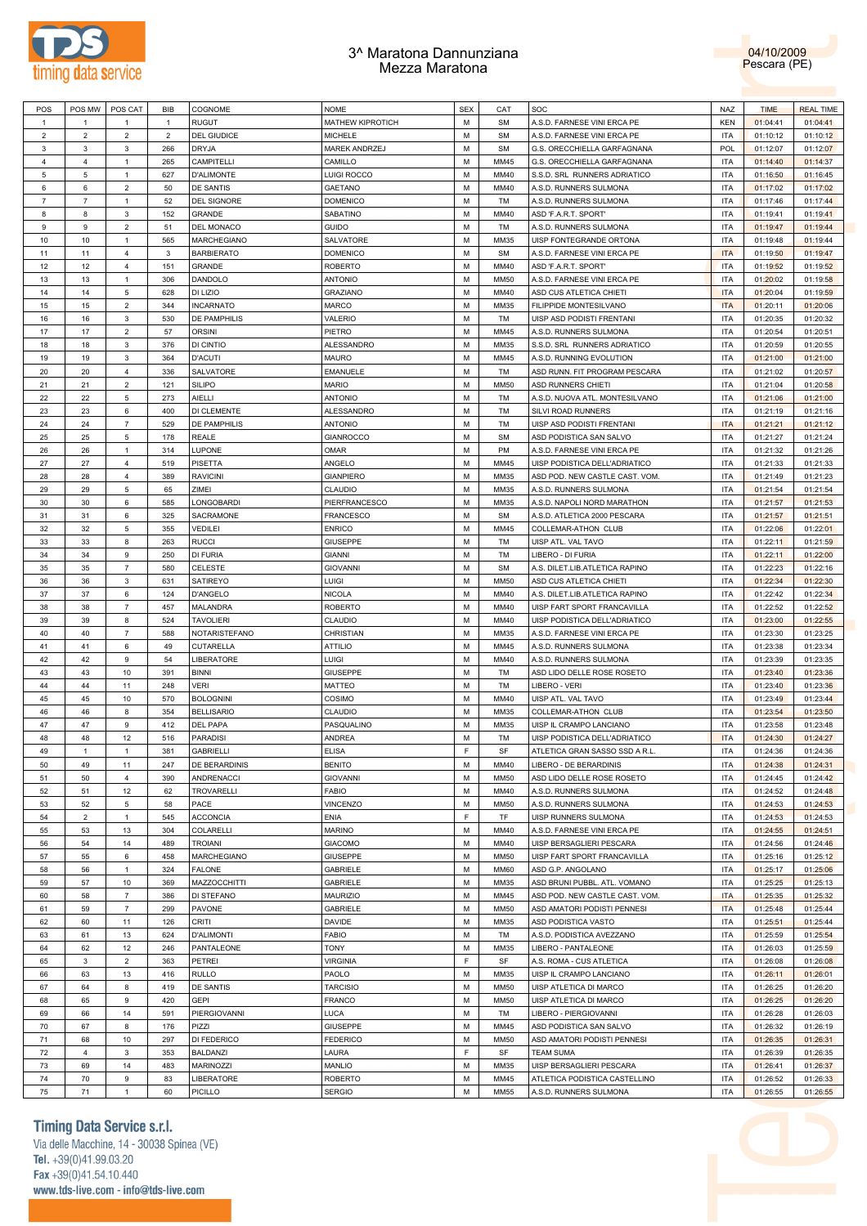



| POS            | POS MW         | POS CAT        | <b>BIB</b>     | COGNOME              | <b>NOME</b>          | <b>SEX</b> | CAT         | SOC                            | <b>NAZ</b> | <b>TIME</b> | <b>REAL TIME</b> |
|----------------|----------------|----------------|----------------|----------------------|----------------------|------------|-------------|--------------------------------|------------|-------------|------------------|
|                |                |                |                |                      |                      |            |             |                                |            |             |                  |
| $\overline{1}$ | $\overline{1}$ | $\mathbf{1}$   | $\mathbf{1}$   | <b>RUGUT</b>         | MATHEW KIPROTICH     | M          | <b>SM</b>   | A.S.D. FARNESE VINI ERCA PE    | <b>KEN</b> | 01:04:41    | 01:04:41         |
| 2              | $\overline{2}$ | $\overline{2}$ | $\overline{2}$ | <b>DEL GIUDICE</b>   | <b>MICHELE</b>       | M          | <b>SM</b>   | A.S.D. FARNESE VINI ERCA PE    | <b>ITA</b> | 01:10:12    | 01:10:12         |
| $\mathbf{3}$   | $\mathbf{3}$   | 3              | 266            | <b>DRYJA</b>         | <b>MAREK ANDRZEJ</b> | M          | <b>SM</b>   | G.S. ORECCHIELLA GARFAGNANA    | <b>POL</b> | 01:12:07    | 01:12:07         |
| $\overline{4}$ | $\overline{4}$ | $\mathbf{1}$   | 265            | CAMPITELLI           | CAMILLO              | M          | MM45        | G.S. ORECCHIELLA GARFAGNANA    | <b>ITA</b> | 01:14:40    | 01:14:37         |
| 5              | $\overline{5}$ | $\mathbf{1}$   | 627            | <b>D'ALIMONTE</b>    | <b>LUIGI ROCCO</b>   | M          | MM40        | S.S.D. SRL RUNNERS ADRIATICO   | <b>ITA</b> | 01:16:50    | 01:16:45         |
|                |                |                |                |                      |                      |            |             |                                |            |             |                  |
| 6              | $\,6\,$        | $\overline{2}$ | 50             | <b>DE SANTIS</b>     | <b>GAETANO</b>       | M          | MM40        | A.S.D. RUNNERS SULMONA         | <b>ITA</b> | 01:17:02    | 01:17:02         |
| $\overline{7}$ | $\overline{7}$ | $\mathbf{1}$   | 52             | <b>DEL SIGNORE</b>   | <b>DOMENICO</b>      | M          | <b>TM</b>   | A.S.D. RUNNERS SULMONA         | <b>ITA</b> | 01:17:46    | 01:17:44         |
| 8              | 8              | 3              | 152            | <b>GRANDE</b>        | SABATINO             | M          | MM40        | ASD 'F.A.R.T. SPORT'           | <b>ITA</b> | 01:19:41    | 01:19:41         |
| 9              | 9              | $\overline{2}$ | 51             | <b>DEL MONACO</b>    | GUIDO                | M          | <b>TM</b>   | A.S.D. RUNNERS SULMONA         | <b>ITA</b> | 01:19:47    | 01:19:44         |
|                | 10             | $\mathbf{1}$   | 565            |                      |                      | M          |             |                                |            |             |                  |
| 10             |                |                |                | <b>MARCHEGIANO</b>   | SALVATORE            |            | MM35        | UISP FONTEGRANDE ORTONA        | <b>ITA</b> | 01:19:48    | 01:19:44         |
| 11             | 11             | $\overline{4}$ | 3              | <b>BARBIERATO</b>    | <b>DOMENICO</b>      | M          | <b>SM</b>   | A.S.D. FARNESE VINI ERCA PE    | <b>ITA</b> | 01:19:50    | 01:19:47         |
| 12             | 12             | $\overline{4}$ | 151            | GRANDE               | <b>ROBERTO</b>       | M          | MM40        | ASD 'F.A.R.T. SPORT'           | <b>ITA</b> | 01:19:52    | 01:19:52         |
| 13             | 13             | $\mathbf{1}$   | 306            | DANDOLO              | <b>ANTONIO</b>       | M          | <b>MM50</b> | A.S.D. FARNESE VINI ERCA PE    | <b>ITA</b> | 01:20:02    | 01:19:58         |
| 14             | 14             | 5              | 628            | DI LIZIO             | <b>GRAZIANO</b>      | M          | MM40        | ASD CUS ATLETICA CHIETI        | <b>ITA</b> | 01:20:04    | 01:19:59         |
|                |                |                |                |                      |                      |            |             |                                |            |             |                  |
| 15             | 15             | $\overline{2}$ | 344            | <b>INCARNATO</b>     | <b>MARCO</b>         | M          | MM35        | FILIPPIDE MONTESILVANO         | <b>ITA</b> | 01:20:11    | 01:20:06         |
| 16             | 16             | 3              | 530            | <b>DE PAMPHILIS</b>  | VALERIO              | M          | <b>TM</b>   | UISP ASD PODISTI FRENTANI      | <b>ITA</b> | 01:20:35    | 01:20:32         |
| 17             | 17             | $\overline{2}$ | 57             | <b>ORSINI</b>        | PIETRO               | M          | MM45        | A.S.D. RUNNERS SULMONA         | <b>ITA</b> | 01:20:54    | 01:20:51         |
| 18             | 18             | 3              | 376            | DI CINTIO            | ALESSANDRO           | M          | MM35        | S.S.D. SRL RUNNERS ADRIATICO   | <b>ITA</b> | 01:20:59    | 01:20:55         |
| 19             | 19             | 3              | 364            | <b>D'ACUTI</b>       | <b>MAURO</b>         | M          | MM45        | A.S.D. RUNNING EVOLUTION       | <b>ITA</b> | 01:21:00    | 01:21:00         |
|                |                |                |                |                      |                      |            |             |                                |            |             |                  |
| 20             | 20             | $\overline{4}$ | 336            | SALVATORE            | <b>EMANUELE</b>      | M          | <b>TM</b>   | ASD RUNN. FIT PROGRAM PESCARA  | <b>ITA</b> | 01:21:02    | 01:20:57         |
| 21             | 21             | $\overline{2}$ | 121            | <b>SILIPO</b>        | <b>MARIO</b>         | M          | <b>MM50</b> | <b>ASD RUNNERS CHIETI</b>      | <b>ITA</b> | 01:21:04    | 01:20:58         |
| 22             | 22             | 5              | 273            | AIELLI               | <b>ANTONIO</b>       | M          | <b>TM</b>   | A.S.D. NUOVA ATL. MONTESILVANO | <b>ITA</b> | 01:21:06    | 01:21:00         |
| 23             | 23             | 6              | 400            | DI CLEMENTE          | ALESSANDRO           | M          | TM          | <b>SILVI ROAD RUNNERS</b>      | <b>ITA</b> | 01:21:19    | 01:21:16         |
|                |                |                |                |                      |                      |            |             |                                |            |             |                  |
| 24             | 24             | $\overline{7}$ | 529            | <b>DE PAMPHILIS</b>  | <b>ANTONIO</b>       | M          | TM          | UISP ASD PODISTI FRENTANI      | <b>ITA</b> | 01:21:21    | 01:21:12         |
| 25             | 25             | 5              | 178            | REALE                | <b>GIANROCCO</b>     | M          | <b>SM</b>   | ASD PODISTICA SAN SALVO        | <b>ITA</b> | 01:21:27    | 01:21:24         |
| 26             | 26             | $\mathbf{1}$   | 314            | LUPONE               | <b>OMAR</b>          | M          | <b>PM</b>   | A.S.D. FARNESE VINI ERCA PE    | <b>ITA</b> | 01:21:32    | 01:21:26         |
| 27             | 27             | $\overline{4}$ | 519            | <b>PISETTA</b>       | ANGELO               | M          | MM45        | UISP PODISTICA DELL'ADRIATICO  | <b>ITA</b> | 01:21:33    | 01:21:33         |
| 28             | 28             | $\overline{4}$ | 389            | <b>RAVICINI</b>      | <b>GIANPIERO</b>     | M          | MM35        | ASD POD. NEW CASTLE CAST. VOM. | <b>ITA</b> | 01:21:49    | 01:21:23         |
|                |                |                |                |                      |                      |            |             |                                |            |             |                  |
| 29             | 29             | 5              | 65             | ZIMEI                | CLAUDIO              | M          | MM35        | A.S.D. RUNNERS SULMONA         | <b>ITA</b> | 01:21:54    | 01:21:54         |
| 30             | 30             | 6              | 585            | LONGOBARDI           | PIERFRANCESCO        | M          | MM35        | A.S.D. NAPOLI NORD MARATHON    | <b>ITA</b> | 01:21:57    | 01:21:53         |
| 31             | 31             | 6              | 325            | <b>SACRAMONE</b>     | <b>FRANCESCO</b>     | M          | <b>SM</b>   | A.S.D. ATLETICA 2000 PESCARA   | <b>ITA</b> | 01:21:57    | 01:21:51         |
| 32             | 32             | 5              | 355            | <b>VEDILEI</b>       | <b>ENRICO</b>        | M          | MM45        | COLLEMAR-ATHON CLUB            | <b>ITA</b> | 01:22:06    | 01:22:01         |
| 33             | 33             | 8              | 263            | <b>RUCCI</b>         | <b>GIUSEPPE</b>      | M          | <b>TM</b>   | UISP ATL. VAL TAVO             | <b>ITA</b> | 01:22:11    | 01:21:59         |
|                |                |                |                |                      |                      |            |             |                                |            |             |                  |
| 34             | 34             | 9              | 250            | <b>DI FURIA</b>      | <b>GIANNI</b>        | M          | <b>TM</b>   | LIBERO - DI FURIA              | <b>ITA</b> | 01:22:11    | 01:22:00         |
| 35             | 35             | $\overline{7}$ | 580            | <b>CELESTE</b>       | <b>GIOVANNI</b>      | M          | <b>SM</b>   | A.S. DILET.LIB.ATLETICA RAPINO | <b>ITA</b> | 01:22:23    | 01:22:16         |
| 36             | 36             | 3              | 631            | SATIREYO             | LUIGI                | M          | <b>MM50</b> | ASD CUS ATLETICA CHIETI        | <b>ITA</b> | 01:22:34    | 01:22:30         |
| 37             | 37             | 6              | 124            | <b>D'ANGELO</b>      | <b>NICOLA</b>        | M          | MM40        | A.S. DILET.LIB.ATLETICA RAPINO | <b>ITA</b> | 01:22:42    | 01:22:34         |
|                |                | $\overline{7}$ | 457            |                      |                      | M          | MM40        |                                |            |             |                  |
| 38             | 38             |                |                | MALANDRA             | <b>ROBERTO</b>       |            |             | UISP FART SPORT FRANCAVILLA    | <b>ITA</b> | 01:22:52    | 01:22:52         |
| 39             | 39             | 8              | 524            | <b>TAVOLIERI</b>     | CLAUDIO              | M          | MM40        | UISP PODISTICA DELL'ADRIATICO  | <b>ITA</b> | 01:23:00    | 01:22:55         |
| 40             | 40             | $\overline{7}$ | 588            | <b>NOTARISTEFANO</b> | CHRISTIAN            | M          | MM35        | A.S.D. FARNESE VINI ERCA PE    | <b>ITA</b> | 01:23:30    | 01:23:25         |
| 41             | 41             | 6              | 49             | CUTARELLA            | <b>ATTILIO</b>       | M          | MM45        | A.S.D. RUNNERS SULMONA         | <b>ITA</b> | 01:23:38    | 01:23:34         |
| 42             | 42             | 9              | 54             | LIBERATORE           | LUIGI                | M          | MM40        | A.S.D. RUNNERS SULMONA         | <b>ITA</b> | 01:23:39    | 01:23:35         |
|                |                |                |                |                      |                      |            |             |                                |            |             |                  |
| 43             | 43             | 10             | 391            | <b>BINNI</b>         | <b>GIUSEPPE</b>      | M          | TM          | ASD LIDO DELLE ROSE ROSETO     | <b>ITA</b> | 01:23:40    | 01:23:36         |
| 44             | 44             | 11             | 248            | <b>VERI</b>          | <b>MATTEO</b>        | M          | TM          | LIBERO - VERI                  | <b>ITA</b> | 01:23:40    | 01:23:36         |
| 45             | 45             | 10             | 570            | <b>BOLOGNINI</b>     | COSIMO               | M          | MM40        | UISP ATL. VAL TAVO             | <b>ITA</b> | 01:23:49    | 01:23:44         |
| 46             | 46             | 8              | 354            | <b>BELLISARIO</b>    | CLAUDIO              | M          | MM35        | COLLEMAR-ATHON CLUB            | <b>ITA</b> | 01:23:54    | 01:23:50         |
| 47             | 47             | 9              | 412            | DEL PAPA             | PASQUALINO           | M          | MM35        | UISP IL CRAMPO LANCIANO        | <b>ITA</b> | 01:23:58    | 01:23:48         |
|                |                |                |                |                      |                      |            |             |                                |            |             |                  |
| 48             | 48             | 12             | 516            | <b>PARADISI</b>      | ANDREA               | M          | TM          | UISP PODISTICA DELL'ADRIATICO  | <b>ITA</b> | 01:24:30    | 01:24:27         |
| 49             | $\overline{1}$ | $\mathbf{1}$   | 381            | <b>GABRIELLI</b>     | <b>FLISA</b>         | E.         | <b>SF</b>   | ATLETICA GRAN SASSO SSD A R.L  | ITA        | 01:24:36    | 01:24:36         |
| 50             | 49             | 11             | 247            | DE BERARDINIS        | <b>BENITO</b>        | M          | MM40        | LIBERO - DE BERARDINIS         | <b>ITA</b> | 01:24:38    | 01:24:31         |
| 51             | 50             | $\overline{4}$ | 390            | ANDRENACCI           | <b>GIOVANNI</b>      | М          | <b>MM50</b> | ASD LIDO DELLE ROSE ROSETO     | <b>ITA</b> | 01:24:45    | 01:24:42         |
| 52             | 51             | 12             | 62             | TROVARELLI           | <b>FABIO</b>         | M          | MM40        | A.S.D. RUNNERS SULMONA         | <b>ITA</b> | 01:24:52    | 01:24:48         |
|                |                |                |                |                      |                      |            |             |                                |            |             |                  |
| 53             | 52             | $\,$ 5 $\,$    | 58             | PACE                 | <b>VINCENZO</b>      | M          | MM50        | A.S.D. RUNNERS SULMONA         | <b>ITA</b> | 01:24:53    | 01:24:53         |
| 54             | $\overline{2}$ | $\mathbf{1}$   | 545            | <b>ACCONCIA</b>      | ENIA                 | F          | TF          | UISP RUNNERS SULMONA           | <b>ITA</b> | 01:24:53    | 01:24:53         |
| 55             | 53             | 13             | 304            | COLARELLI            | <b>MARINO</b>        | М          | MM40        | A.S.D. FARNESE VINI ERCA PE    | <b>ITA</b> | 01:24:55    | 01:24:51         |
| 56             | 54             | 14             | 489            | <b>TROIANI</b>       | <b>GIACOMO</b>       | M          | MM40        | UISP BERSAGLIERI PESCARA       | <b>ITA</b> | 01:24:56    | 01:24:46         |
|                |                |                |                |                      |                      | M          |             |                                |            |             |                  |
| 57             | 55             | 6              | 458            | MARCHEGIANO          | <b>GIUSEPPE</b>      |            | MM50        | UISP FART SPORT FRANCAVILLA    | <b>ITA</b> | 01:25:16    | 01:25:12         |
| 58             | 56             | $\mathbf{1}$   | 324            | <b>FALONE</b>        | GABRIELE             | M          | MM60        | ASD G.P. ANGOLANO              | <b>ITA</b> | 01:25:17    | 01:25:06         |
| 59             | 57             | 10             | 369            | MAZZOCCHITTI         | GABRIELE             | М          | MM35        | ASD BRUNI PUBBL. ATL. VOMANO   | <b>ITA</b> | 01:25:25    | 01:25:13         |
| 60             | 58             | $\overline{7}$ | 386            | DI STEFANO           | MAURIZIO             | M          | MM45        | ASD POD. NEW CASTLE CAST. VOM. | <b>ITA</b> | 01:25:35    | 01:25:32         |
| 61             | 59             | $\overline{7}$ | 299            | PAVONE               | GABRIELE             | М          | MM50        | ASD AMATORI PODISTI PENNESI    | <b>ITA</b> | 01:25:48    | 01:25:44         |
|                |                |                |                |                      |                      |            |             |                                |            |             |                  |
| 62             | 60             | 11             | 126            | CRITI                | DAVIDE               | M          | MM35        | ASD PODISTICA VASTO            | <b>ITA</b> | 01:25:51    | 01:25:44         |
| 63             | 61             | 13             | 624            | <b>D'ALIMONTI</b>    | <b>FABIO</b>         | M          | TM          | A.S.D. PODISTICA AVEZZANO      | <b>ITA</b> | 01:25:59    | 01:25:54         |
| 64             | 62             | 12             | 246            | PANTALEONE           | <b>TONY</b>          | M          | MM35        | LIBERO - PANTALEONE            | <b>ITA</b> | 01:26:03    | 01:25:59         |
| 65             | $\mathbf{3}$   | $\overline{2}$ | 363            | PETREI               | <b>VIRGINIA</b>      | E          | SF          | A.S. ROMA - CUS ATLETICA       | <b>ITA</b> | 01:26:08    | 01:26:08         |
| 66             | 63             | 13             | 416            | <b>RULLO</b>         | PAOLO                | M          | MM35        | UISP IL CRAMPO LANCIANO        | <b>ITA</b> | 01:26:11    | 01:26:01         |
|                |                |                |                |                      |                      |            |             |                                |            |             |                  |
| 67             | 64             | 8              | 419            | DE SANTIS            | <b>TARCISIO</b>      | М          | MM50        | UISP ATLETICA DI MARCO         | <b>ITA</b> | 01:26:25    | 01:26:20         |
| 68             | 65             | 9              | 420            | <b>GEPI</b>          | <b>FRANCO</b>        | M          | <b>MM50</b> | UISP ATLETICA DI MARCO         | <b>ITA</b> | 01:26:25    | 01:26:20         |
| 69             | 66             | 14             | 591            | PIERGIOVANNI         | LUCA                 | M          | TM          | LIBERO - PIERGIOVANNI          | <b>ITA</b> | 01:26:28    | 01:26:03         |
| 70             | 67             | 8              | 176            | PIZZI                | <b>GIUSEPPE</b>      | M          | MM45        | ASD PODISTICA SAN SALVO        | <b>ITA</b> | 01:26:32    | 01:26:19         |
|                |                |                |                |                      |                      |            |             |                                |            |             |                  |
| 71             | 68             | 10             | 297            | DI FEDERICO          | <b>FEDERICO</b>      | M          | MM50        | ASD AMATORI PODISTI PENNESI    | <b>ITA</b> | 01:26:35    | 01:26:31         |
| 72             | $\overline{4}$ | 3              | 353            | <b>BALDANZI</b>      | LAURA                | F          | SF          | <b>TEAM SUMA</b>               | <b>ITA</b> | 01:26:39    | 01:26:35         |
| 73             | 69             | 14             | 483            | <b>MARINOZZI</b>     | MANLIO               | М          | MM35        | UISP BERSAGLIERI PESCARA       | <b>ITA</b> | 01:26:41    | 01:26:37         |
| 74             | 70             | 9              | 83             | LIBERATORE           | ROBERTO              | M          | MM45        | ATLETICA PODISTICA CASTELLINO  | <b>ITA</b> | 01:26:52    | 01:26:33         |
|                |                |                |                |                      |                      |            |             |                                |            |             |                  |
| 75             | 71             | $\mathbf{1}$   | 60             | <b>PICILLO</b>       | <b>SERGIO</b>        | М          | MM55        | A.S.D. RUNNERS SULMONA         | <b>ITA</b> | 01:26:55    | 01:26:55         |

# **Timing Data Service s.r.l.**

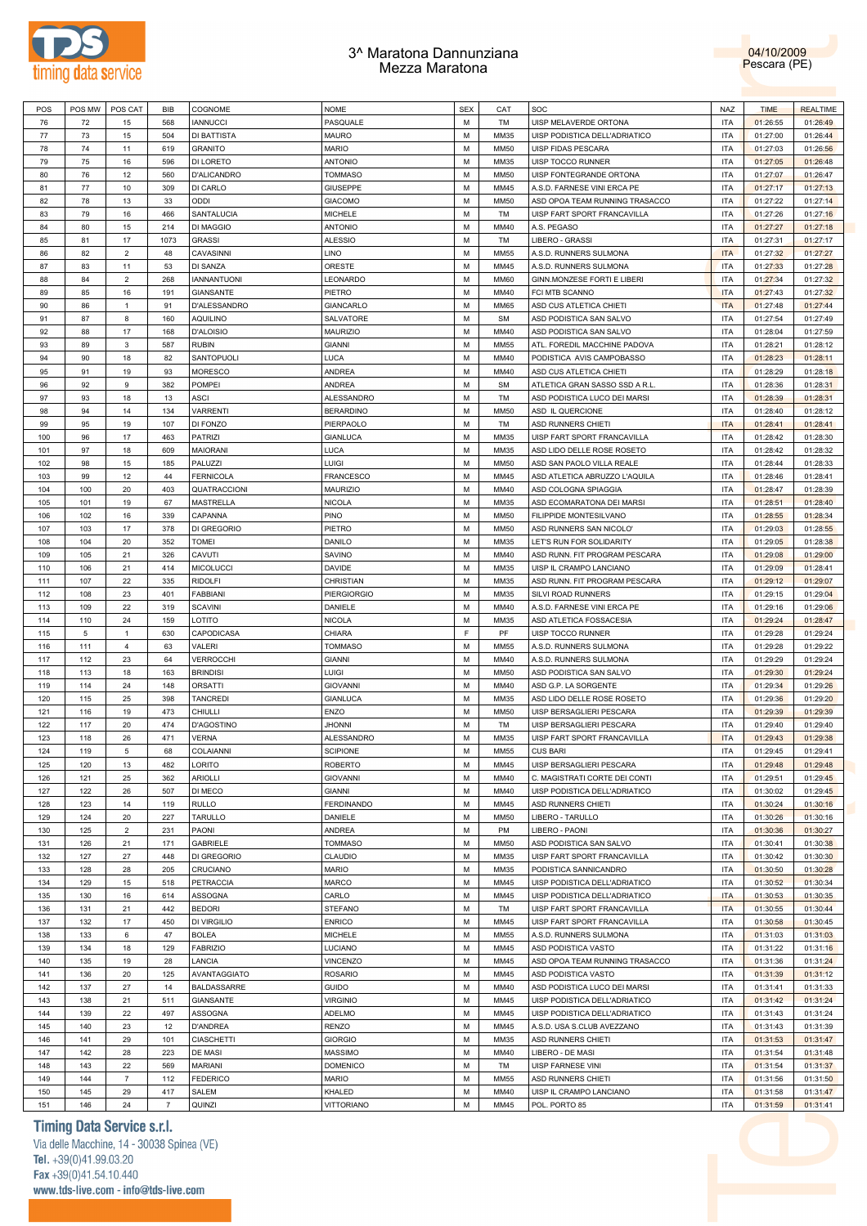



| POS | POS MW         | POS CAT        | <b>BIB</b>     | COGNOME            | <b>NOME</b>        | <b>SEX</b> | CAT         | SOC                            | <b>NAZ</b> | <b>TIME</b> | <b>REALTIME</b> |
|-----|----------------|----------------|----------------|--------------------|--------------------|------------|-------------|--------------------------------|------------|-------------|-----------------|
|     |                |                |                |                    |                    |            |             |                                |            |             |                 |
| 76  | 72             | 15             | 568            | <b>IANNUCCI</b>    | PASQUALE           | M          | TM          | UISP MELAVERDE ORTONA          | <b>ITA</b> | 01:26:55    | 01:26:49        |
| 77  | 73             | 15             | 504            | DI BATTISTA        | <b>MAURO</b>       | M          | MM35        | UISP PODISTICA DELL'ADRIATICO  | <b>ITA</b> | 01:27:00    | 01:26:44        |
| 78  | 74             | 11             | 619            | <b>GRANITO</b>     | <b>MARIO</b>       | M          | MM50        | UISP FIDAS PESCARA             | <b>ITA</b> | 01:27:03    | 01:26:56        |
| 79  | 75             | 16             | 596            | DI LORETO          | <b>ANTONIO</b>     | М          | MM35        | UISP TOCCO RUNNER              | <b>ITA</b> | 01:27:05    | 01:26:48        |
|     | 76             |                |                | <b>D'ALICANDRO</b> | <b>TOMMASO</b>     | M          | <b>MM50</b> |                                | <b>ITA</b> | 01:27:07    | 01:26:47        |
| 80  |                | 12             | 560            |                    |                    |            |             | UISP FONTEGRANDE ORTONA        |            |             |                 |
| 81  | 77             | 10             | 309            | DI CARLO           | <b>GIUSEPPE</b>    | M          | MM45        | A.S.D. FARNESE VINI ERCA PE    | <b>ITA</b> | 01:27:17    | 01:27:13        |
| 82  | 78             | 13             | 33             | ODDI               | <b>GIACOMO</b>     | М          | MM50        | ASD OPOA TEAM RUNNING TRASACCO | <b>ITA</b> | 01:27:22    | 01:27:14        |
| 83  | 79             | 16             | 466            | SANTALUCIA         | <b>MICHELE</b>     | M          | TM          | UISP FART SPORT FRANCAVILLA    | <b>ITA</b> | 01:27:26    | 01:27:16        |
| 84  | 80             | 15             | 214            | DI MAGGIO          | <b>ANTONIO</b>     | M          | MM40        | A.S. PEGASO                    | <b>ITA</b> | 01:27:27    | 01:27:18        |
|     |                |                |                |                    |                    |            |             |                                |            |             |                 |
| 85  | 81             | 17             | 1073           | <b>GRASSI</b>      | <b>ALESSIO</b>     | M          | TM          | LIBERO - GRASSI                | <b>ITA</b> | 01:27:31    | 01:27:17        |
| 86  | 82             | $\overline{2}$ | 48             | CAVASINNI          | LINO               | М          | MM55        | A.S.D. RUNNERS SULMONA         | <b>ITA</b> | 01:27:32    | 01:27:27        |
| 87  | 83             | 11             | 53             | DI SANZA           | ORESTE             | М          | MM45        | A.S.D. RUNNERS SULMONA         | <b>ITA</b> | 01:27:33    | 01:27:28        |
| 88  | 84             | $\overline{2}$ | 268            | <b>IANNANTUONI</b> | LEONARDO           | M          | <b>MM60</b> | GINN.MONZESE FORTI E LIBERI    | <b>ITA</b> | 01:27:34    | 01:27:32        |
| 89  | 85             | 16             | 191            | <b>GIANSANTE</b>   | PIETRO             | М          | MM40        | FCI MTB SCANNO                 | <b>ITA</b> | 01:27:43    | 01:27:32        |
|     |                |                |                |                    |                    |            |             |                                |            |             |                 |
| 90  | 86             | $\mathbf{1}$   | 91             | D'ALESSANDRO       | GIANCARLO          | М          | MM65        | ASD CUS ATLETICA CHIETI        | <b>ITA</b> | 01:27:48    | 01:27:44        |
| 91  | 87             | 8              | 160            | <b>AQUILINO</b>    | SALVATORE          | M          | <b>SM</b>   | ASD PODISTICA SAN SALVO        | <b>ITA</b> | 01:27:54    | 01:27:49        |
| 92  | 88             | 17             | 168            | <b>D'ALOISIO</b>   | MAURIZIO           | M          | MM40        | ASD PODISTICA SAN SALVO        | <b>ITA</b> | 01:28:04    | 01:27:59        |
| 93  | 89             | 3              | 587            | <b>RUBIN</b>       | <b>GIANNI</b>      | M          | MM55        | ATL. FOREDIL MACCHINE PADOVA   | <b>ITA</b> | 01:28:21    | 01:28:12        |
|     |                |                |                |                    |                    |            |             |                                |            |             |                 |
| 94  | 90             | 18             | 82             | SANTOPUOLI         | LUCA               | M          | MM40        | PODISTICA AVIS CAMPOBASSO      | <b>ITA</b> | 01:28:23    | 01:28:11        |
| 95  | 91             | 19             | 93             | <b>MORESCO</b>     | <b>ANDREA</b>      | М          | MM40        | ASD CUS ATLETICA CHIETI        | <b>ITA</b> | 01:28:29    | 01:28:18        |
| 96  | 92             | 9              | 382            | <b>POMPEI</b>      | ANDREA             | M          | <b>SM</b>   | ATLETICA GRAN SASSO SSD A R.L  | <b>ITA</b> | 01:28:36    | 01:28:31        |
| 97  | 93             | 18             | 13             | <b>ASCI</b>        | ALESSANDRO         | M          | TM          | ASD PODISTICA LUCO DEI MARSI   | <b>ITA</b> | 01:28:39    | 01:28:31        |
| 98  | 94             | 14             | 134            | <b>VARRENTI</b>    | <b>BERARDINO</b>   | М          | <b>MM50</b> | ASD IL QUERCIONE               | <b>ITA</b> | 01:28:40    | 01:28:12        |
|     |                |                |                |                    |                    |            |             |                                |            |             |                 |
| 99  | 95             | 19             | 107            | DI FONZO           | PIERPAOLO          | M          | TM          | ASD RUNNERS CHIETI             | <b>ITA</b> | 01:28:41    | 01:28:41        |
| 100 | 96             | 17             | 463            | <b>PATRIZI</b>     | <b>GIANLUCA</b>    | M          | MM35        | UISP FART SPORT FRANCAVILLA    | <b>ITA</b> | 01:28:42    | 01:28:30        |
| 101 | 97             | 18             | 609            | <b>MAIORANI</b>    | LUCA               | M          | MM35        | ASD LIDO DELLE ROSE ROSETO     | <b>ITA</b> | 01:28:42    | 01:28:32        |
| 102 | 98             | 15             | 185            | PALUZZI            | LUIGI              | M          | MM50        | ASD SAN PAOLO VILLA REALE      | <b>ITA</b> | 01:28:44    | 01:28:33        |
|     |                |                |                |                    |                    |            |             |                                |            |             |                 |
| 103 | 99             | 12             | 44             | <b>FERNICOLA</b>   | FRANCESCO          | M          | MM45        | ASD ATLETICA ABRUZZO L'AQUILA  | <b>ITA</b> | 01:28:46    | 01:28:41        |
| 104 | 100            | 20             | 403            | QUATRACCIONI       | MAURIZIO           | M          | MM40        | ASD COLOGNA SPIAGGIA           | <b>ITA</b> | 01:28:47    | 01:28:39        |
| 105 | 101            | 19             | 67             | MASTRELLA          | <b>NICOLA</b>      | М          | MM35        | ASD ECOMARATONA DEI MARSI      | <b>ITA</b> | 01:28:51    | 01:28:40        |
| 106 | 102            | 16             | 339            | CAPANNA            | PINO               | М          | <b>MM50</b> | FILIPPIDE MONTESILVANO         | <b>ITA</b> | 01:28:55    | 01:28:34        |
|     |                |                |                |                    |                    |            |             |                                |            |             |                 |
| 107 | 103            | 17             | 378            | DI GREGORIO        | PIETRO             | М          | MM50        | ASD RUNNERS SAN NICOLO'        | <b>ITA</b> | 01:29:03    | 01:28:55        |
| 108 | 104            | 20             | 352            | <b>TOMEI</b>       | DANILO             | M          | MM35        | LET'S RUN FOR SOLIDARITY       | <b>ITA</b> | 01:29:05    | 01:28:38        |
| 109 | 105            | 21             | 326            | CAVUTI             | SAVINO             | M          | MM40        | ASD RUNN. FIT PROGRAM PESCARA  | <b>ITA</b> | 01:29:08    | 01:29:00        |
| 110 | 106            | 21             | 414            | <b>MICOLUCCI</b>   | <b>DAVIDE</b>      | M          | MM35        | UISP IL CRAMPO LANCIANO        | <b>ITA</b> | 01:29:09    | 01:28:41        |
|     |                | 22             |                |                    |                    | M          |             |                                | <b>ITA</b> |             |                 |
| 111 | 107            |                | 335            | <b>RIDOLFI</b>     | CHRISTIAN          |            | MM35        | ASD RUNN. FIT PROGRAM PESCARA  |            | 01:29:12    | 01:29:07        |
| 112 | 108            | 23             | 401            | FABBIANI           | <b>PIERGIORGIO</b> | M          | MM35        | SILVI ROAD RUNNERS             | <b>ITA</b> | 01:29:15    | 01:29:04        |
| 113 | 109            | 22             | 319            | <b>SCAVINI</b>     | DANIELE            | М          | MM40        | A.S.D. FARNESE VINI ERCA PE    | <b>ITA</b> | 01:29:16    | 01:29:06        |
| 114 | 110            | 24             | 159            | LOTITO             | <b>NICOLA</b>      | М          | MM35        | ASD ATLETICA FOSSACESIA        | <b>ITA</b> | 01:29:24    | 01:28:47        |
| 115 | $\overline{5}$ | 1              | 630            | CAPODICASA         | CHIARA             | F          | PF          | UISP TOCCO RUNNER              | <b>ITA</b> | 01:29:28    | 01:29:24        |
|     |                |                |                |                    |                    |            |             |                                |            |             |                 |
| 116 | 111            | $\overline{4}$ | 63             | VALERI             | <b>TOMMASO</b>     | M          | MM55        | A.S.D. RUNNERS SULMONA         | <b>ITA</b> | 01:29:28    | 01:29:22        |
| 117 | 112            | 23             | 64             | <b>VERROCCHI</b>   | <b>GIANNI</b>      | M          | MM40        | A.S.D. RUNNERS SULMONA         | <b>ITA</b> | 01:29:29    | 01:29:24        |
| 118 | 113            | 18             | 163            | <b>BRINDISI</b>    | LUIGI              | М          | MM50        | ASD PODISTICA SAN SALVO        | <b>ITA</b> | 01:29:30    | 01:29:24        |
| 119 | 114            | 24             | 148            | <b>ORSATTI</b>     | <b>GIOVANNI</b>    | M          | MM40        | ASD G.P. LA SORGENTE           | <b>ITA</b> | 01:29:34    | 01:29:26        |
| 120 | 115            | 25             | 398            | <b>TANCREDI</b>    | <b>GIANLUCA</b>    | M          | MM35        | ASD LIDO DELLE ROSE ROSETO     | <b>ITA</b> | 01:29:36    | 01:29:20        |
|     |                |                |                |                    |                    |            |             |                                |            |             |                 |
| 121 | 116            | 19             | 473            | CHIULLI            | ENZO               | М          | MM50        | UISP BERSAGLIERI PESCARA       | <b>ITA</b> | 01:29:39    | 01:29:39        |
| 122 | 117            | 20             | 474            | D'AGOSTINO         | <b>JHONNI</b>      | М          | TM          | UISP BERSAGLIERI PESCARA       | <b>ITA</b> | 01:29:40    | 01:29:40        |
| 123 | 118            | 26             | 471            | VERNA              | ALESSANDRO         | М          | MM35        | UISP FART SPORT FRANCAVILLA    | <b>ITA</b> | 01:29:43    | 01:29:38        |
| 124 | 119            | $\mathbf{5}$   | 68             | COLAIANNI          | SCIPIONE           | M          | <b>MM55</b> | <b>CUS BARI</b>                | ITA        | 01:29:45    | 01:29:41        |
|     |                |                |                |                    |                    |            |             | UISP BERSAGLIERI PESCARA       | <b>ITA</b> |             |                 |
| 125 | 120            | 13             | 482            | LORITO             | <b>ROBERTO</b>     | М          | MM45        |                                |            | 01:29:48    | 01:29:48        |
| 126 | 121            | 25             | 362            | ARIOLLI            | <b>GIOVANNI</b>    | М          | MM40        | C. MAGISTRATI CORTE DEI CONTI  | <b>ITA</b> | 01:29:51    | 01:29:45        |
| 127 | 122            | 26             | 507            | DI MECO            | <b>GIANNI</b>      | М          | MM40        | UISP PODISTICA DELL'ADRIATICO  | <b>ITA</b> | 01:30:02    | 01:29:45        |
| 128 | 123            | 14             | 119            | <b>RULLO</b>       | <b>FERDINANDO</b>  | М          | MM45        | ASD RUNNERS CHIETI             | <b>ITA</b> | 01:30:24    | 01:30:16        |
| 129 | 124            | 20             | 227            | <b>TARULLO</b>     | DANIELE            | М          | MM50        | LIBERO - TARULLO               | <b>ITA</b> | 01:30:26    | 01:30:16        |
|     |                |                |                |                    |                    |            |             |                                |            |             |                 |
| 130 | 125            | $\overline{2}$ | 231            | PAONI              | ANDREA             | М          | PM          | LIBERO - PAONI                 | <b>ITA</b> | 01:30:36    | 01:30:27        |
| 131 | 126            | 21             | 171            | <b>GABRIELE</b>    | <b>TOMMASO</b>     | М          | MM50        | ASD PODISTICA SAN SALVO        | <b>ITA</b> | 01:30:41    | 01:30:38        |
| 132 | 127            | 27             | 448            | DI GREGORIO        | CLAUDIO            | М          | MM35        | UISP FART SPORT FRANCAVILLA    | <b>ITA</b> | 01:30:42    | 01:30:30        |
| 133 | 128            | 28             | 205            | CRUCIANO           | <b>MARIO</b>       | М          | MM35        | PODISTICA SANNICANDRO          | <b>ITA</b> | 01:30:50    | 01:30:28        |
| 134 | 129            | 15             | 518            | PETRACCIA          | <b>MARCO</b>       | М          | MM45        | UISP PODISTICA DELL'ADRIATICO  | <b>ITA</b> | 01:30:52    | 01:30:34        |
|     |                |                |                |                    |                    |            |             |                                |            |             |                 |
| 135 | 130            | 16             | 614            | ASSOGNA            | CARLO              | М          | MM45        | UISP PODISTICA DELL'ADRIATICO  | <b>ITA</b> | 01:30:53    | 01:30:35        |
| 136 | 131            | 21             | 442            | <b>BEDORI</b>      | STEFANO            | М          | TM          | UISP FART SPORT FRANCAVILLA    | <b>ITA</b> | 01:30:55    | 01:30:44        |
| 137 | 132            | 17             | 450            | DI VIRGILIO        | <b>ENRICO</b>      | М          | MM45        | UISP FART SPORT FRANCAVILLA    | <b>ITA</b> | 01:30:58    | 01:30:45        |
| 138 | 133            | 6              | 47             | <b>BOLEA</b>       | <b>MICHELE</b>     | М          | MM55        | A.S.D. RUNNERS SULMONA         | <b>ITA</b> | 01:31:03    | 01:31:03        |
| 139 | 134            | 18             | 129            | <b>FABRIZIO</b>    | LUCIANO            | М          | MM45        | ASD PODISTICA VASTO            | <b>ITA</b> | 01:31:22    | 01:31:16        |
|     |                |                |                |                    |                    |            |             |                                |            |             |                 |
| 140 | 135            | 19             | 28             | LANCIA             | <b>VINCENZO</b>    | М          | MM45        | ASD OPOA TEAM RUNNING TRASACCO | <b>ITA</b> | 01:31:36    | 01:31:24        |
| 141 | 136            | 20             | 125            | AVANTAGGIATO       | <b>ROSARIO</b>     | М          | MM45        | ASD PODISTICA VASTO            | <b>ITA</b> | 01:31:39    | 01:31:12        |
| 142 | 137            | 27             | 14             | <b>BALDASSARRE</b> | <b>GUIDO</b>       | М          | MM40        | ASD PODISTICA LUCO DEI MARSI   | <b>ITA</b> | 01:31:41    | 01:31:33        |
| 143 | 138            | 21             | 511            | <b>GIANSANTE</b>   | <b>VIRGINIO</b>    | М          | MM45        | UISP PODISTICA DELL'ADRIATICO  | <b>ITA</b> | 01:31:42    | 01:31:24        |
|     |                |                |                |                    |                    |            |             |                                |            |             |                 |
| 144 | 139            | 22             | 497            | ASSOGNA            | ADELMO             | М          | MM45        | UISP PODISTICA DELL'ADRIATICO  | <b>ITA</b> | 01:31:43    | 01:31:24        |
| 145 | 140            | 23             | 12             | <b>D'ANDREA</b>    | RENZO              | М          | MM45        | A.S.D. USA S.CLUB AVEZZANO     | <b>ITA</b> | 01:31:43    | 01:31:39        |
| 146 | 141            | 29             | 101            | <b>CIASCHETTI</b>  | <b>GIORGIO</b>     | М          | MM35        | ASD RUNNERS CHIETI             | <b>ITA</b> | 01:31:53    | 01:31:47        |
| 147 | 142            | 28             | 223            | DE MASI            | <b>MASSIMO</b>     | М          | MM40        | LIBERO - DE MASI               | <b>ITA</b> | 01:31:54    | 01:31:48        |
|     |                |                |                |                    |                    |            |             |                                |            |             |                 |
| 148 | 143            | 22             | 569            | <b>MARIANI</b>     | <b>DOMENICO</b>    | М          | TM          | UISP FARNESE VINI              | <b>ITA</b> | 01:31:54    | 01:31:37        |
| 149 | 144            | $\overline{7}$ | 112            | <b>FEDERICO</b>    | <b>MARIO</b>       | М          | MM55        | ASD RUNNERS CHIETI             | <b>ITA</b> | 01:31:56    | 01:31:50        |
| 150 | 145            | 29             | 417            | SALEM              | KHALED             | М          | MM40        | UISP IL CRAMPO LANCIANO        | <b>ITA</b> | 01:31:58    | 01:31:47        |
| 151 | 146            | 24             | $\overline{7}$ | QUINZI             | <b>VITTORIANO</b>  | М          | MM45        | POL. PORTO 85                  | <b>ITA</b> | 01:31:59    | 01:31:41        |
|     |                |                |                |                    |                    |            |             |                                |            |             |                 |

# **Timing Data Service s.r.l.**

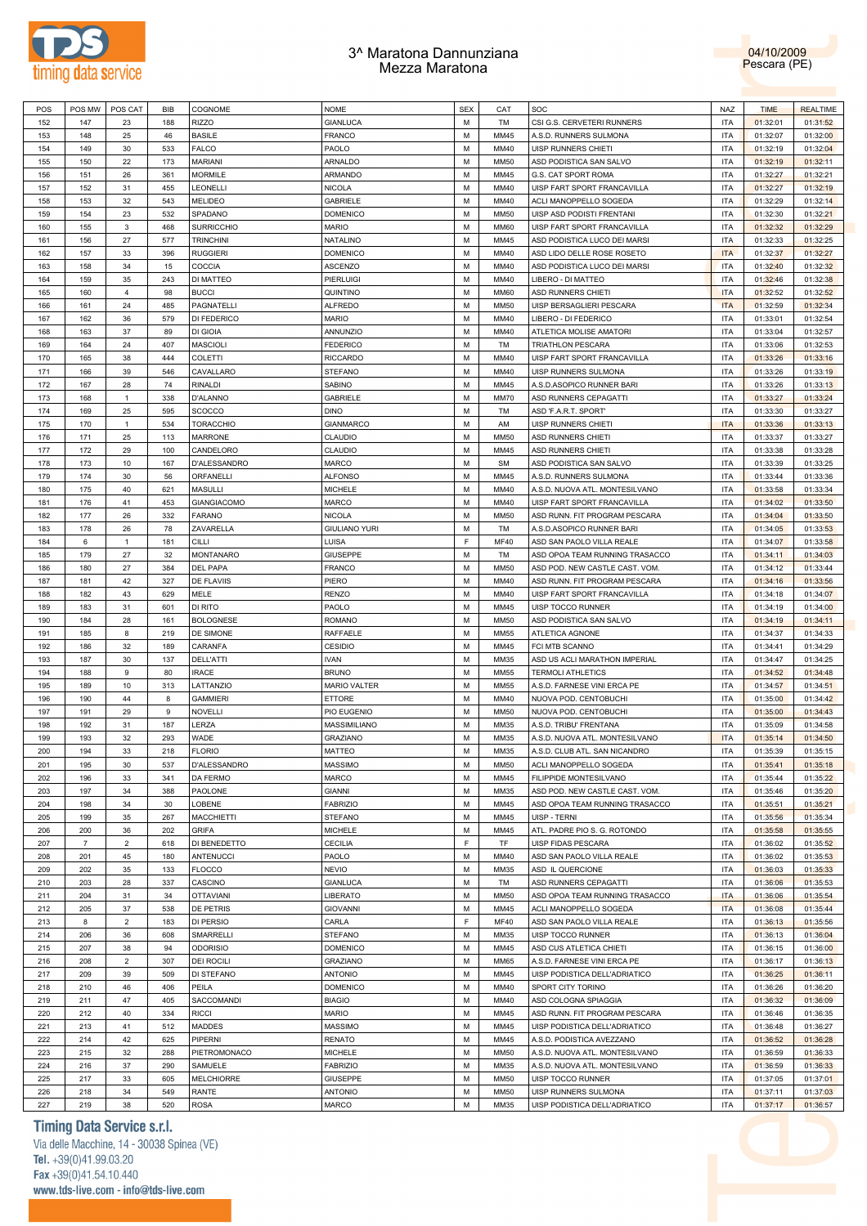



| POS | POS MW         | POS CAT        | <b>BIB</b> | COGNOME            | <b>NOME</b>          | <b>SEX</b> | CAT         | SOC                            | NAZ        | <b>TIME</b> | <b>REALTIME</b> |
|-----|----------------|----------------|------------|--------------------|----------------------|------------|-------------|--------------------------------|------------|-------------|-----------------|
| 152 | 147            | 23             | 188        | <b>RIZZO</b>       | <b>GIANLUCA</b>      | M          | TM          | CSI G.S. CERVETERI RUNNERS     | <b>ITA</b> | 01:32:01    | 01:31:52        |
| 153 | 148            | 25             | 46         | <b>BASILE</b>      | FRANCO               | М          | MM45        | A.S.D. RUNNERS SULMONA         | <b>ITA</b> | 01:32:07    | 01:32:00        |
| 154 | 149            | 30             | 533        | <b>FALCO</b>       | PAOLO                | М          | MM40        | <b>UISP RUNNERS CHIETI</b>     | <b>ITA</b> | 01:32:19    | 01:32:04        |
| 155 | 150            | 22             | 173        | <b>MARIANI</b>     | ARNALDO              | М          | <b>MM50</b> | ASD PODISTICA SAN SALVO        | <b>ITA</b> | 01:32:19    | 01:32:11        |
|     |                | 26             | 361        | <b>MORMILE</b>     | ARMANDO              | M          | MM45        | G.S. CAT SPORT ROMA            | <b>ITA</b> |             |                 |
| 156 | 151            |                |            |                    |                      |            |             |                                |            | 01:32:27    | 01:32:21        |
| 157 | 152            | 31             | 455        | LEONELLI           | <b>NICOLA</b>        | M          | MM40        | UISP FART SPORT FRANCAVILLA    | <b>ITA</b> | 01:32:27    | 01:32:19        |
| 158 | 153            | 32             | 543        | <b>MELIDEO</b>     | GABRIELE             | M          | MM40        | ACLI MANOPPELLO SOGEDA         | <b>ITA</b> | 01:32:29    | 01:32:14        |
| 159 | 154            | 23             | 532        | SPADANO            | <b>DOMENICO</b>      | M          | <b>MM50</b> | UISP ASD PODISTI FRENTANI      | <b>ITA</b> | 01:32:30    | 01:32:21        |
| 160 | 155            | 3              | 468        | <b>SURRICCHIO</b>  | <b>MARIO</b>         | M          | <b>MM60</b> | UISP FART SPORT FRANCAVILLA    | <b>ITA</b> | 01:32:32    | 01:32:29        |
| 161 | 156            | 27             | 577        | <b>TRINCHINI</b>   | NATALINO             | M          | MM45        | ASD PODISTICA LUCO DEI MARSI   | <b>ITA</b> | 01:32:33    | 01:32:25        |
| 162 | 157            | 33             | 396        | <b>RUGGIERI</b>    | <b>DOMENICO</b>      | M          | MM40        | ASD LIDO DELLE ROSE ROSETO     | <b>ITA</b> | 01:32:37    | 01:32:27        |
| 163 | 158            | 34             | 15         | COCCIA             | <b>ASCENZO</b>       | М          | MM40        | ASD PODISTICA LUCO DEI MARSI   | <b>ITA</b> | 01:32:40    | 01:32:32        |
| 164 | 159            | 35             | 243        | DI MATTEO          | PIERLUIGI            | M          | MM40        | LIBERO - DI MATTEO             | <b>ITA</b> | 01:32:46    | 01:32:38        |
| 165 | 160            | 4              | 98         | <b>BUCCI</b>       | QUINTINO             | М          | <b>MM60</b> | ASD RUNNERS CHIETI             | <b>ITA</b> | 01:32:52    | 01:32:52        |
| 166 | 161            | 24             | 485        | PAGNATELLI         | <b>ALFREDO</b>       | М          | <b>MM50</b> | UISP BERSAGLIERI PESCARA       | <b>ITA</b> | 01:32:59    | 01:32:34        |
| 167 | 162            | 36             | 579        | DI FEDERICO        | <b>MARIO</b>         | М          | MM40        | LIBERO - DI FEDERICO           | <b>ITA</b> | 01:33:01    | 01:32:54        |
| 168 | 163            | 37             | 89         | DI GIOIA           | <b>ANNUNZIO</b>      | M          | MM40        | ATLETICA MOLISE AMATORI        | <b>ITA</b> | 01:33:04    | 01:32:57        |
|     |                |                |            |                    |                      |            |             |                                |            |             |                 |
| 169 | 164            | 24             | 407        | <b>MASCIOLI</b>    | <b>FEDERICO</b>      | М          | TM          | TRIATHLON PESCARA              | <b>ITA</b> | 01:33:06    | 01:32:53        |
| 170 | 165            | 38             | 444        | <b>COLETTI</b>     | <b>RICCARDO</b>      | M          | MM40        | UISP FART SPORT FRANCAVILLA    | <b>ITA</b> | 01:33:26    | 01:33:16        |
| 171 | 166            | 39             | 546        | CAVALLARO          | <b>STEFANO</b>       | M          | MM40        | UISP RUNNERS SULMONA           | <b>ITA</b> | 01:33:26    | 01:33:19        |
| 172 | 167            | 28             | 74         | <b>RINALDI</b>     | SABINO               | M          | MM45        | A.S.D.ASOPICO RUNNER BARI      | <b>ITA</b> | 01:33:26    | 01:33:13        |
| 173 | 168            | $\mathbf{1}$   | 338        | <b>D'ALANNO</b>    | <b>GABRIELE</b>      | М          | <b>MM70</b> | ASD RUNNERS CEPAGATTI          | <b>ITA</b> | 01:33:27    | 01:33:24        |
| 174 | 169            | 25             | 595        | SCOCCO             | <b>DINO</b>          | М          | TM          | ASD 'F.A.R.T. SPORT            | <b>ITA</b> | 01:33:30    | 01:33:27        |
| 175 | 170            | $\mathbf{1}$   | 534        | <b>TORACCHIO</b>   | <b>GIANMARCO</b>     | М          | AM          | UISP RUNNERS CHIETI            | <b>ITA</b> | 01:33:36    | 01:33:13        |
| 176 | 171            | 25             | 113        | <b>MARRONE</b>     | CLAUDIO              | M          | <b>MM50</b> | ASD RUNNERS CHIETI             | <b>ITA</b> | 01:33:37    | 01:33:27        |
| 177 | 172            | 29             | 100        | CANDELORO          | CLAUDIO              | М          | MM45        | ASD RUNNERS CHIETI             | <b>ITA</b> | 01:33:38    | 01:33:28        |
| 178 | 173            | 10             | 167        | D'ALESSANDRO       | MARCO                | М          | <b>SM</b>   | ASD PODISTICA SAN SALVO        | <b>ITA</b> | 01:33:39    | 01:33:25        |
|     |                |                |            |                    |                      |            |             |                                |            |             |                 |
| 179 | 174            | 30             | 56         | ORFANELLI          | <b>ALFONSO</b>       | М          | MM45        | A.S.D. RUNNERS SULMONA         | <b>ITA</b> | 01:33:44    | 01:33:36        |
| 180 | 175            | 40             | 621        | <b>MASULLI</b>     | <b>MICHELE</b>       | М          | MM40        | A.S.D. NUOVA ATL. MONTESILVANO | <b>ITA</b> | 01:33:58    | 01:33:34        |
| 181 | 176            | 41             | 453        | <b>GIANGIACOMO</b> | MARCO                | М          | MM40        | UISP FART SPORT FRANCAVILLA    | <b>ITA</b> | 01:34:02    | 01:33:50        |
| 182 | 177            | 26             | 332        | <b>FARANO</b>      | <b>NICOLA</b>        | M          | <b>MM50</b> | ASD RUNN. FIT PROGRAM PESCARA  | <b>ITA</b> | 01:34:04    | 01:33:50        |
| 183 | 178            | 26             | 78         | ZAVARELLA          | <b>GIULIANO YURI</b> | М          | TM          | A.S.D.ASOPICO RUNNER BARI      | <b>ITA</b> | 01:34:05    | 01:33:53        |
| 184 | 6              | $\mathbf{1}$   | 181        | CILLI              | LUISA                | F          | <b>MF40</b> | ASD SAN PAOLO VILLA REALE      | <b>ITA</b> | 01:34:07    | 01:33:58        |
| 185 | 179            | 27             | 32         | <b>MONTANARO</b>   | <b>GIUSEPPE</b>      | М          | TM          | ASD OPOA TEAM RUNNING TRASACCO | <b>ITA</b> | 01:34:11    | 01:34:03        |
| 186 | 180            | 27             | 384        | DEL PAPA           | FRANCO               | М          | <b>MM50</b> | ASD POD. NEW CASTLE CAST. VOM. | <b>ITA</b> | 01:34:12    | 01:33:44        |
| 187 | 181            | 42             | 327        | DE FLAVIIS         | PIERO                | М          | MM40        | ASD RUNN. FIT PROGRAM PESCARA  | <b>ITA</b> | 01:34:16    | 01:33:56        |
| 188 | 182            | 43             | 629        | MELE               | <b>RENZO</b>         | M          | MM40        | UISP FART SPORT FRANCAVILLA    | <b>ITA</b> | 01:34:18    | 01:34:07        |
|     |                |                |            |                    |                      | М          |             |                                |            |             |                 |
| 189 | 183            | 31             | 601        | DI RITO            | PAOLO                |            | MM45        | UISP TOCCO RUNNER              | <b>ITA</b> | 01:34:19    | 01:34:00        |
| 190 | 184            | 28             | 161        | <b>BOLOGNESE</b>   | <b>ROMANO</b>        | М          | <b>MM50</b> | ASD PODISTICA SAN SALVO        | <b>ITA</b> | 01:34:19    | 01:34:11        |
| 191 | 185            | 8              | 219        | DE SIMONE          | RAFFAELE             | М          | <b>MM55</b> | ATLETICA AGNONE                | <b>ITA</b> | 01:34:37    | 01:34:33        |
| 192 | 186            | 32             | 189        | CARANFA            | <b>CESIDIO</b>       | М          | MM45        | FCI MTB SCANNO                 | <b>ITA</b> | 01:34:41    | 01:34:29        |
| 193 | 187            | 30             | 137        | <b>DELL'ATTI</b>   | <b>IVAN</b>          | М          | MM35        | ASD US ACLI MARATHON IMPERIAL  | <b>ITA</b> | 01:34:47    | 01:34:25        |
| 194 | 188            | 9              | 80         | <b>IRACE</b>       | <b>BRUNO</b>         | M          | MM55        | <b>TERMOLI ATHLETICS</b>       | <b>ITA</b> | 01:34:52    | 01:34:48        |
| 195 | 189            | 10             | 313        | LATTANZIO          | <b>MARIO VALTER</b>  | M          | <b>MM55</b> | A.S.D. FARNESE VINI ERCA PE    | <b>ITA</b> | 01:34:57    | 01:34:51        |
| 196 | 190            | 44             | 8          | <b>GAMMIERI</b>    | ETTORE               | M          | MM40        | NUOVA POD. CENTOBUCHI          | <b>ITA</b> | 01:35:00    | 01:34:42        |
| 197 | 191            | 29             | 9          | <b>NOVELLI</b>     | PIO EUGENIO          | M          | MM50        | NUOVA POD. CENTOBUCHI          | <b>ITA</b> | 01:35:00    | 01:34:43        |
| 198 | 192            | 31             | 187        | LERZA              | MASSIMILIANO         | М          | MM35        | A.S.D. TRIBU' FRENTANA         | <b>ITA</b> | 01:35:09    | 01:34:58        |
| 199 | 193            | 32             | 293        | WADE               | <b>GRAZIANO</b>      | М          | MM35        | A.S.D. NUOVA ATL. MONTESILVANO | <b>ITA</b> | 01:35:14    | 01:34:50        |
|     |                | 33             |            |                    |                      | M          |             |                                |            |             |                 |
| 200 | 194            |                | 218        | <b>FLORIO</b>      | <b>MATTEO</b>        |            | MM35        | A.S.D. CLUB ATL. SAN NICANDRO  | <b>ITA</b> | 01:35:39    | 01:35:15        |
| 201 | 195            | 30             | 537        | D'ALESSANDRO       | MASSIMO              | М          | MM50        | ACLI MANOPPELLO SOGEDA         | <b>ITA</b> | 01:35:41    | 01:35:18        |
| 202 | 196            | 33             | 341        | <b>DA FERMO</b>    | MARCO                | М          | MM45        | FILIPPIDE MONTESILVANO         | <b>ITA</b> | 01:35:44    | 01:35:22        |
| 203 | 197            | 34             | 388        | PAOLONE            | <b>GIANNI</b>        | М          | MM35        | ASD POD. NEW CASTLE CAST. VOM. | <b>ITA</b> | 01:35:46    | 01:35:20        |
| 204 | 198            | 34             | 30         | LOBENE             | <b>FABRIZIO</b>      | М          | MM45        | ASD OPOA TEAM RUNNING TRASACCO | <b>ITA</b> | 01:35:51    | 01:35:21        |
| 205 | 199            | 35             | 267        | <b>MACCHIETTI</b>  | <b>STEFANO</b>       | М          | MM45        | UISP - TERNI                   | <b>ITA</b> | 01:35:56    | 01:35:34        |
| 206 | 200            | 36             | 202        | <b>GRIFA</b>       | <b>MICHELE</b>       | М          | MM45        | ATL. PADRE PIO S. G. ROTONDO   | <b>ITA</b> | 01:35:58    | 01:35:55        |
| 207 | $\overline{7}$ | $\overline{2}$ | 618        | DI BENEDETTO       | <b>CECILIA</b>       | F.         | TF          | UISP FIDAS PESCARA             | <b>ITA</b> | 01:36:02    | 01:35:52        |
| 208 | 201            | 45             | 180        | <b>ANTENUCCI</b>   | PAOLO                | М          | MM40        | ASD SAN PAOLO VILLA REALE      | ITA        | 01:36:02    | 01:35:53        |
| 209 | 202            | 35             | 133        | <b>FLOCCO</b>      | <b>NEVIO</b>         | М          | MM35        | ASD IL QUERCIONE               | <b>ITA</b> | 01:36:03    | 01:35:33        |
|     |                |                |            |                    |                      |            |             |                                |            |             |                 |
| 210 | 203            | 28             | 337        | CASCINO            | <b>GIANLUCA</b>      | М          | TM          | ASD RUNNERS CEPAGATTI          | ITA        | 01:36:06    | 01:35:53        |
| 211 | 204            | 31             | 34         | <b>OTTAVIANI</b>   | <b>LIBERATO</b>      | М          | <b>MM50</b> | ASD OPOA TEAM RUNNING TRASACCO | <b>ITA</b> | 01:36:06    | 01:35:54        |
| 212 | 205            | 37             | 538        | <b>DE PETRIS</b>   | <b>GIOVANNI</b>      | М          | MM45        | ACLI MANOPPELLO SOGEDA         | <b>ITA</b> | 01:36:08    | 01:35:44        |
| 213 | 8              | $\mathbf 2$    | 183        | DI PERSIO          | CARLA                | F          | <b>MF40</b> | ASD SAN PAOLO VILLA REALE      | <b>ITA</b> | 01:36:13    | 01:35:56        |
| 214 | 206            | 36             | 608        | SMARRELLI          | STEFANO              | М          | MM35        | UISP TOCCO RUNNER              | <b>ITA</b> | 01:36:13    | 01:36:04        |
| 215 | 207            | 38             | 94         | <b>ODORISIO</b>    | <b>DOMENICO</b>      | М          | MM45        | ASD CUS ATLETICA CHIETI        | <b>ITA</b> | 01:36:15    | 01:36:00        |
| 216 | 208            | $\overline{2}$ | 307        | <b>DEI ROCILI</b>  | <b>GRAZIANO</b>      | М          | <b>MM65</b> | A.S.D. FARNESE VINI ERCA PE    | <b>ITA</b> | 01:36:17    | 01:36:13        |
| 217 | 209            | 39             | 509        | DI STEFANO         | <b>ANTONIO</b>       | М          | MM45        | UISP PODISTICA DELL'ADRIATICO  | <b>ITA</b> | 01:36:25    | 01:36:11        |
| 218 | 210            | 46             | 406        | PEILA              | <b>DOMENICO</b>      | М          | MM40        | SPORT CITY TORINO              | ITA        | 01:36:26    | 01:36:20        |
|     |                |                |            |                    |                      |            |             |                                |            |             |                 |
| 219 | 211            | 47             | 405        | SACCOMANDI         | <b>BIAGIO</b>        | М          | MM40        | ASD COLOGNA SPIAGGIA           | <b>ITA</b> | 01:36:32    | 01:36:09        |
| 220 | 212            | 40             | 334        | <b>RICCI</b>       | <b>MARIO</b>         | М          | MM45        | ASD RUNN. FIT PROGRAM PESCARA  | ITA        | 01:36:46    | 01:36:35        |
| 221 | 213            | 41             | 512        | <b>MADDES</b>      | <b>MASSIMO</b>       | М          | MM45        | UISP PODISTICA DELL'ADRIATICO  | <b>ITA</b> | 01:36:48    | 01:36:27        |
| 222 | 214            | 42             | 625        | PIPERNI            | <b>RENATO</b>        | M          | MM45        | A.S.D. PODISTICA AVEZZANO      | ITA        | 01:36:52    | 01:36:28        |
| 223 | 215            | 32             | 288        | PIETROMONACO       | <b>MICHELE</b>       | М          | <b>MM50</b> | A.S.D. NUOVA ATL. MONTESILVANO | <b>ITA</b> | 01:36:59    | 01:36:33        |
| 224 | 216            | 37             | 290        | SAMUELE            | <b>FABRIZIO</b>      | М          | MM35        | A.S.D. NUOVA ATL. MONTESILVANO | <b>ITA</b> | 01:36:59    | 01:36:33        |
| 225 | 217            | 33             | 605        | <b>MELCHIORRE</b>  | <b>GIUSEPPE</b>      | М          | <b>MM50</b> | UISP TOCCO RUNNER              | <b>ITA</b> | 01:37:05    | 01:37:01        |
| 226 | 218            | 34             | 549        | RANTE              | <b>ANTONIO</b>       | M          | <b>MM50</b> | UISP RUNNERS SULMONA           | <b>ITA</b> | 01:37:11    | 01:37:03        |
| 227 |                |                |            |                    |                      | М          |             | UISP PODISTICA DELL'ADRIATICO  | <b>ITA</b> |             |                 |
|     | 219            | 38             | 520        | ROSA               | MARCO                |            | MM35        |                                |            | 01:37:17    | 01:36:57        |

### **Timing Data Service s.r.l.**

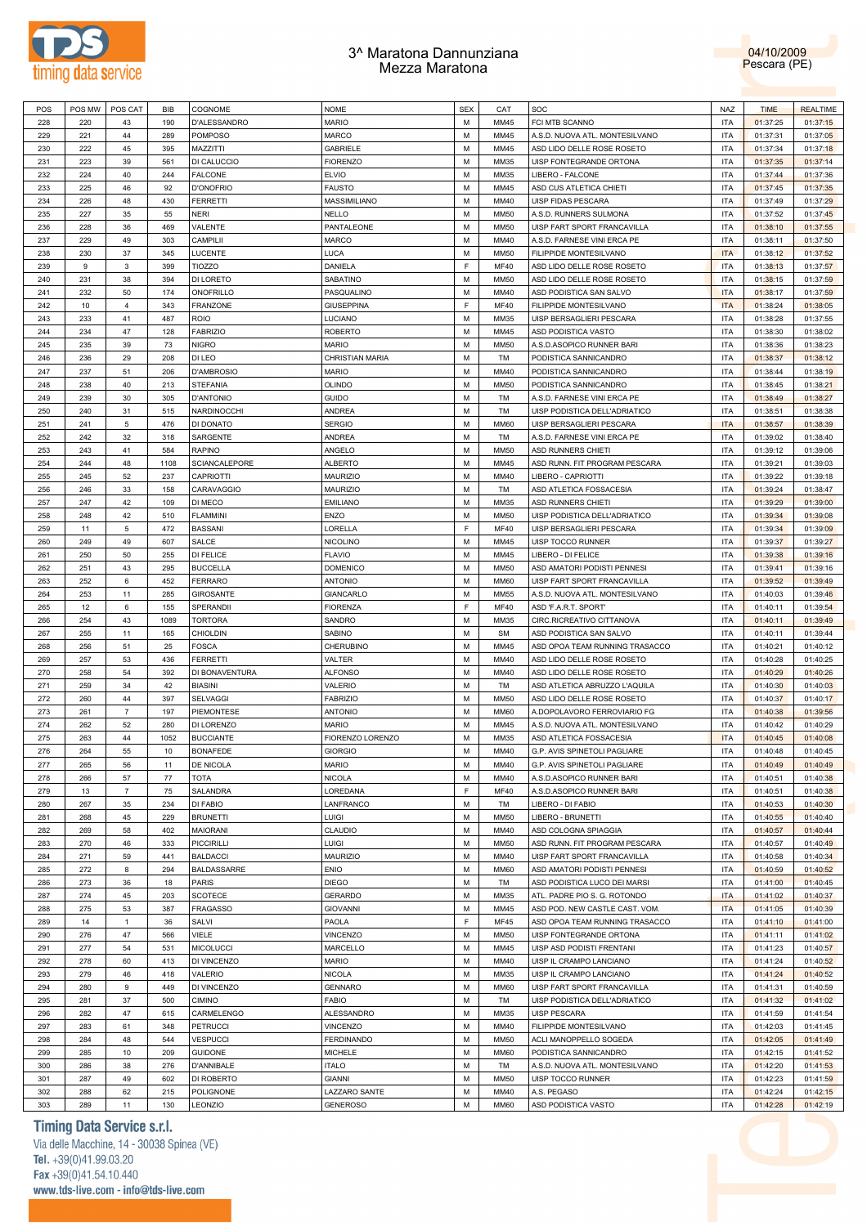



| POS | POS MW | POS CAT        | BIB  | COGNOME           | <b>NOME</b>       | <b>SEX</b>  | CAT         | SOC                            | <b>NAZ</b> | <b>TIME</b> | <b>REALTIME</b> |
|-----|--------|----------------|------|-------------------|-------------------|-------------|-------------|--------------------------------|------------|-------------|-----------------|
| 228 | 220    | 43             | 190  | D'ALESSANDRO      | <b>MARIO</b>      | M           | MM45        | FCI MTB SCANNO                 | <b>ITA</b> | 01:37:25    | 01:37:15        |
| 229 | 221    | 44             | 289  | <b>POMPOSO</b>    | MARCO             | M           | MM45        | A.S.D. NUOVA ATL. MONTESILVANO | <b>ITA</b> | 01:37:31    | 01:37:05        |
|     |        |                |      | <b>MAZZITTI</b>   | <b>GABRIELE</b>   | M           |             |                                |            |             |                 |
| 230 | 222    | 45             | 395  |                   |                   |             | MM45        | ASD LIDO DELLE ROSE ROSETO     | <b>ITA</b> | 01:37:34    | 01:37:18        |
| 231 | 223    | 39             | 561  | DI CALUCCIO       | <b>FIORENZO</b>   | M           | MM35        | UISP FONTEGRANDE ORTONA        | <b>ITA</b> | 01:37:35    | 01:37:14        |
| 232 | 224    | 40             | 244  | <b>FALCONE</b>    | <b>ELVIO</b>      | M           | MM35        | LIBERO - FALCONE               | <b>ITA</b> | 01:37:44    | 01:37:36        |
| 233 | 225    | 46             | 92   | <b>D'ONOFRIO</b>  | <b>FAUSTO</b>     | M           | MM45        | ASD CUS ATLETICA CHIETI        | <b>ITA</b> | 01:37:45    | 01:37:35        |
| 234 | 226    | 48             | 430  | <b>FERRETTI</b>   | MASSIMILIANO      | M           | MM40        | UISP FIDAS PESCARA             | <b>ITA</b> | 01:37:49    | 01:37:29        |
| 235 | 227    | 35             | 55   | <b>NERI</b>       | NELLO             | M           | <b>MM50</b> | A.S.D. RUNNERS SULMONA         | <b>ITA</b> | 01:37:52    | 01:37:45        |
| 236 | 228    | 36             | 469  | VALENTE           | PANTALEONE        | M           | <b>MM50</b> | UISP FART SPORT FRANCAVILLA    | <b>ITA</b> | 01:38:10    | 01:37:55        |
|     |        |                |      |                   |                   |             |             |                                |            |             |                 |
| 237 | 229    | 49             | 303  | CAMPILII          | <b>MARCO</b>      | M           | MM40        | A.S.D. FARNESE VINI ERCA PE    | <b>ITA</b> | 01:38:11    | 01:37:50        |
| 238 | 230    | 37             | 345  | LUCENTE           | LUCA              | M           | <b>MM50</b> | FILIPPIDE MONTESILVANO         | <b>ITA</b> | 01:38:12    | 01:37:52        |
| 239 | 9      | 3              | 399  | <b>TIOZZO</b>     | DANIELA           | $\mathsf F$ | <b>MF40</b> | ASD LIDO DELLE ROSE ROSETO     | <b>ITA</b> | 01:38:13    | 01:37:57        |
| 240 | 231    | 38             | 394  | DI LORETO         | SABATINO          | M           | <b>MM50</b> | ASD LIDO DELLE ROSE ROSETO     | <b>ITA</b> | 01:38:15    | 01:37:59        |
| 241 | 232    | 50             | 174  | <b>ONOFRILLO</b>  | PASQUALINO        | M           | MM40        | ASD PODISTICA SAN SALVO        | <b>ITA</b> | 01:38:17    | 01:37:59        |
| 242 | 10     | $\overline{4}$ | 343  | <b>FRANZONE</b>   | <b>GIUSEPPINA</b> | E           | <b>MF40</b> | FILIPPIDE MONTESILVANO         | <b>ITA</b> | 01:38:24    | 01:38:05        |
| 243 | 233    |                | 487  | <b>ROIO</b>       | LUCIANO           | M           | MM35        | UISP BERSAGLIERI PESCARA       | <b>ITA</b> | 01:38:28    | 01:37:55        |
|     |        | 41             |      |                   |                   |             |             |                                |            |             |                 |
| 244 | 234    | 47             | 128  | <b>FABRIZIO</b>   | <b>ROBERTO</b>    | M           | MM45        | ASD PODISTICA VASTO            | <b>ITA</b> | 01:38:30    | 01:38:02        |
| 245 | 235    | 39             | 73   | <b>NIGRO</b>      | MARIO             | M           | <b>MM50</b> | A.S.D.ASOPICO RUNNER BARI      | <b>ITA</b> | 01:38:36    | 01:38:23        |
| 246 | 236    | 29             | 208  | DI LEO            | CHRISTIAN MARIA   | M           | TM          | PODISTICA SANNICANDRO          | <b>ITA</b> | 01:38:37    | 01:38:12        |
| 247 | 237    | 51             | 206  | D'AMBROSIO        | <b>MARIO</b>      | M           | MM40        | PODISTICA SANNICANDRO          | <b>ITA</b> | 01:38:44    | 01:38:19        |
| 248 | 238    | 40             | 213  | <b>STEFANIA</b>   | <b>OLINDO</b>     | M           | <b>MM50</b> | PODISTICA SANNICANDRO          | <b>ITA</b> | 01:38:45    | 01:38:21        |
| 249 | 239    | 30             | 305  | <b>D'ANTONIO</b>  | <b>GUIDO</b>      | M           | TM          | A.S.D. FARNESE VINI ERCA PE    | <b>ITA</b> | 01:38:49    | 01:38:27        |
|     |        |                |      |                   |                   |             |             |                                |            |             |                 |
| 250 | 240    | 31             | 515  | NARDINOCCHI       | ANDREA            | M           | TM          | UISP PODISTICA DELL'ADRIATICO  | <b>ITA</b> | 01:38:51    | 01:38:38        |
| 251 | 241    | 5              | 476  | DI DONATO         | <b>SERGIO</b>     | M           | <b>MM60</b> | UISP BERSAGLIERI PESCARA       | <b>ITA</b> | 01:38:57    | 01:38:39        |
| 252 | 242    | 32             | 318  | SARGENTE          | ANDREA            | M           | TM          | A.S.D. FARNESE VINI ERCA PE    | <b>ITA</b> | 01:39:02    | 01:38:40        |
| 253 | 243    | 41             | 584  | <b>RAPINO</b>     | ANGELO            | M           | <b>MM50</b> | ASD RUNNERS CHIETI             | <b>ITA</b> | 01:39:12    | 01:39:06        |
| 254 | 244    | 48             | 1108 | SCIANCALEPORE     | <b>ALBERTO</b>    | M           | MM45        | ASD RUNN. FIT PROGRAM PESCARA  | <b>ITA</b> | 01:39:21    | 01:39:03        |
| 255 | 245    | 52             | 237  | <b>CAPRIOTTI</b>  | <b>MAURIZIO</b>   | M           | MM40        | LIBERO - CAPRIOTTI             | <b>ITA</b> | 01:39:22    | 01:39:18        |
| 256 | 246    | 33             | 158  | CARAVAGGIO        | <b>MAURIZIO</b>   | M           | TM          | ASD ATLETICA FOSSACESIA        | <b>ITA</b> | 01:39:24    | 01:38:47        |
|     |        |                |      |                   |                   |             |             |                                |            |             |                 |
| 257 | 247    | 42             | 109  | DI MECO           | <b>EMILIANO</b>   | M           | MM35        | ASD RUNNERS CHIETI             | <b>ITA</b> | 01:39:29    | 01:39:00        |
| 258 | 248    | 42             | 510  | <b>FLAMMINI</b>   | <b>ENZO</b>       | M           | <b>MM50</b> | UISP PODISTICA DELL'ADRIATICO  | <b>ITA</b> | 01:39:34    | 01:39:08        |
| 259 | 11     | 5              | 472  | <b>BASSANI</b>    | LORELLA           | E           | <b>MF40</b> | UISP BERSAGLIERI PESCARA       | <b>ITA</b> | 01:39:34    | 01:39:09        |
| 260 | 249    | 49             | 607  | SALCE             | <b>NICOLINO</b>   | M           | MM45        | UISP TOCCO RUNNER              | <b>ITA</b> | 01:39:37    | 01:39:27        |
| 261 | 250    | 50             | 255  | DI FELICE         | <b>FLAVIO</b>     | M           | MM45        | LIBERO - DI FELICE             | <b>ITA</b> | 01:39:38    | 01:39:16        |
| 262 | 251    | 43             | 295  | <b>BUCCELLA</b>   | <b>DOMENICO</b>   | M           | <b>MM50</b> | ASD AMATORI PODISTI PENNESI    | <b>ITA</b> | 01:39:41    | 01:39:16        |
|     |        |                |      |                   |                   |             |             |                                |            |             |                 |
| 263 | 252    | 6              | 452  | <b>FERRARO</b>    | <b>ANTONIO</b>    | M           | <b>MM60</b> | UISP FART SPORT FRANCAVILLA    | <b>ITA</b> | 01:39:52    | 01:39:49        |
| 264 | 253    | 11             | 285  | <b>GIROSANTE</b>  | <b>GIANCARLO</b>  | M           | <b>MM55</b> | A.S.D. NUOVA ATL. MONTESILVANO | <b>ITA</b> | 01:40:03    | 01:39:46        |
| 265 | 12     | 6              | 155  | SPERANDII         | <b>FIORENZA</b>   | $\mathsf F$ | <b>MF40</b> | ASD 'F.A.R.T. SPORT            | <b>ITA</b> | 01:40:11    | 01:39:54        |
| 266 | 254    | 43             | 1089 | <b>TORTORA</b>    | SANDRO            | M           | MM35        | CIRC.RICREATIVO CITTANOVA      | <b>ITA</b> | 01:40:11    | 01:39:49        |
| 267 | 255    | 11             | 165  | <b>CHIOLDIN</b>   | SABINO            | M           | <b>SM</b>   | ASD PODISTICA SAN SALVO        | <b>ITA</b> | 01:40:11    | 01:39:44        |
| 268 | 256    | 51             | 25   | <b>FOSCA</b>      | <b>CHERUBINO</b>  | M           | MM45        | ASD OPOA TEAM RUNNING TRASACCO | <b>ITA</b> | 01:40:21    | 01:40:12        |
| 269 | 257    | 53             | 436  | FERRETTI          | VALTER            | M           | MM40        | ASD LIDO DELLE ROSE ROSETO     | <b>ITA</b> | 01:40:28    | 01:40:25        |
|     |        |                |      |                   |                   |             |             |                                |            |             |                 |
| 270 | 258    | 54             | 392  | DI BONAVENTURA    | <b>ALFONSO</b>    | M           | MM40        | ASD LIDO DELLE ROSE ROSETO     | <b>ITA</b> | 01:40:29    | 01:40:26        |
| 271 | 259    | 34             | 42   | <b>BIASINI</b>    | VALERIO           | M           | TM          | ASD ATLETICA ABRUZZO L'AQUILA  | <b>ITA</b> | 01:40:30    | 01:40:03        |
| 272 | 260    | 44             | 397  | <b>SELVAGGI</b>   | <b>FABRIZIO</b>   | M           | <b>MM50</b> | ASD LIDO DELLE ROSE ROSETO     | <b>ITA</b> | 01:40:37    | 01:40:17        |
| 273 | 261    | $\overline{7}$ | 197  | PIEMONTESE        | <b>ANTONIO</b>    | M           | <b>MM60</b> | A.DOPOLAVORO FERROVIARIO FG    | <b>ITA</b> | 01:40:38    | 01:39:56        |
| 274 | 262    | 52             | 280  | DI LORENZO        | <b>MARIO</b>      | M           | MM45        | A.S.D. NUOVA ATL. MONTESILVANO | <b>ITA</b> | 01:40:42    | 01:40:29        |
| 275 | 263    | 44             | 1052 | <b>BUCCIANTE</b>  | FIORENZO LORENZO  | M           | MM35        | ASD ATLETICA FOSSACESIA        | <b>ITA</b> | 01:40:45    | 01:40:08        |
|     |        |                |      |                   |                   |             |             |                                |            |             |                 |
| 276 | 264    | 55             | 10   | <b>BONAFEDE</b>   | <b>GIORGIO</b>    | M           | MM40        | G.P. AVIS SPINETOLI PAGLIARE   | <b>ITA</b> | 01:40:48    | 01:40:45        |
| 277 | 265    | 56             | 11   | DE NICOLA         | <b>MARIO</b>      | М           | MM40        | G.P. AVIS SPINETOLI PAGLIARE   | <b>ITA</b> | 01:40:49    | 01:40:49        |
| 278 | 266    | 57             | 77   | <b>TOTA</b>       | <b>NICOLA</b>     | M           | MM40        | A.S.D.ASOPICO RUNNER BARI      | <b>ITA</b> | 01:40:51    | 01:40:38        |
| 279 | 13     | $\overline{7}$ | 75   | SALANDRA          | LOREDANA          | F           | <b>MF40</b> | A.S.D.ASOPICO RUNNER BARI      | <b>ITA</b> | 01:40:51    | 01:40:38        |
| 280 | 267    | 35             | 234  | DI FABIO          | LANFRANCO         | M           | TM          | LIBERO - DI FABIO              | <b>ITA</b> | 01:40:53    | 01:40:30        |
| 281 | 268    | 45             | 229  | <b>BRUNETTI</b>   | LUIGI             | M           | <b>MM50</b> | LIBERO - BRUNETTI              | <b>ITA</b> | 01:40:55    | 01:40:40        |
| 282 | 269    | 58             | 402  | <b>MAIORANI</b>   | CLAUDIO           | M           | MM40        | ASD COLOGNA SPIAGGIA           | <b>ITA</b> | 01:40:57    | 01:40:44        |
|     |        |                |      |                   |                   |             |             |                                |            |             |                 |
| 283 | 270    | 46             | 333  | <b>PICCIRILLI</b> | LUIGI             | M           | <b>MM50</b> | ASD RUNN. FIT PROGRAM PESCARA  | <b>ITA</b> | 01:40:57    | 01:40:49        |
| 284 | 271    | 59             | 441  | <b>BALDACCI</b>   | <b>MAURIZIO</b>   | M           | MM40        | UISP FART SPORT FRANCAVILLA    | <b>ITA</b> | 01:40:58    | 01:40:34        |
| 285 | 272    | 8              | 294  | BALDASSARRE       | <b>ENIO</b>       | M           | <b>MM60</b> | ASD AMATORI PODISTI PENNESI    | <b>ITA</b> | 01:40:59    | 01:40:52        |
| 286 | 273    | 36             | 18   | <b>PARIS</b>      | <b>DIEGO</b>      | M           | TM          | ASD PODISTICA LUCO DEI MARSI   | <b>ITA</b> | 01:41:00    | 01:40:45        |
| 287 | 274    | 45             | 203  | <b>SCOTECE</b>    | <b>GERARDO</b>    | M           | MM35        | ATL. PADRE PIO S. G. ROTONDO   | <b>ITA</b> | 01:41:02    | 01:40:37        |
| 288 | 275    | 53             | 387  | <b>FRAGASSO</b>   | <b>GIOVANNI</b>   | M           | MM45        | ASD POD. NEW CASTLE CAST. VOM. | <b>ITA</b> | 01:41:05    | 01:40:39        |
|     |        |                |      |                   |                   | F           |             |                                |            |             |                 |
| 289 | 14     | $\mathbf{1}$   | 36   | SALVI             | PAOLA             |             | <b>MF45</b> | ASD OPOA TEAM RUNNING TRASACCO | <b>ITA</b> | 01:41:10    | 01:41:00        |
| 290 | 276    | 47             | 566  | VIELE             | <b>VINCENZO</b>   | M           | <b>MM50</b> | UISP FONTEGRANDE ORTONA        | <b>ITA</b> | 01:41:11    | 01:41:02        |
| 291 | 277    | 54             | 531  | <b>MICOLUCCI</b>  | MARCELLO          | M           | MM45        | UISP ASD PODISTI FRENTANI      | <b>ITA</b> | 01:41:23    | 01:40:57        |
| 292 | 278    | 60             | 413  | DI VINCENZO       | <b>MARIO</b>      | M           | MM40        | UISP IL CRAMPO LANCIANO        | <b>ITA</b> | 01:41:24    | 01:40:52        |
| 293 | 279    | 46             | 418  | VALERIO           | <b>NICOLA</b>     | M           | MM35        | UISP IL CRAMPO LANCIANO        | <b>ITA</b> | 01:41:24    | 01:40:52        |
| 294 | 280    | 9              | 449  | DI VINCENZO       | <b>GENNARO</b>    | M           | <b>MM60</b> | UISP FART SPORT FRANCAVILLA    | <b>ITA</b> | 01:41:31    | 01:40:59        |
| 295 | 281    | 37             | 500  | <b>CIMINO</b>     | <b>FABIO</b>      | M           | TM          | UISP PODISTICA DELL'ADRIATICO  | <b>ITA</b> | 01:41:32    | 01:41:02        |
|     |        |                |      |                   |                   |             |             |                                |            |             |                 |
| 296 | 282    | 47             | 615  | CARMELENGO        | ALESSANDRO        | M           | MM35        | <b>UISP PESCARA</b>            | <b>ITA</b> | 01:41:59    | 01:41:54        |
| 297 | 283    | 61             | 348  | <b>PETRUCCI</b>   | <b>VINCENZO</b>   | M           | MM40        | FILIPPIDE MONTESILVANO         | <b>ITA</b> | 01:42:03    | 01:41:45        |
| 298 | 284    | 48             | 544  | <b>VESPUCCI</b>   | <b>FERDINANDO</b> | M           | <b>MM50</b> | ACLI MANOPPELLO SOGEDA         | <b>ITA</b> | 01:42:05    | 01:41:49        |
| 299 | 285    | 10             | 209  | <b>GUIDONE</b>    | <b>MICHELE</b>    | M           | <b>MM60</b> | PODISTICA SANNICANDRO          | <b>ITA</b> | 01:42:15    | 01:41:52        |
| 300 | 286    | 38             | 276  | D'ANNIBALE        | <b>ITALO</b>      | M           | TM          | A.S.D. NUOVA ATL. MONTESILVANO | <b>ITA</b> | 01:42:20    | 01:41:53        |
| 301 | 287    | 49             | 602  | DI ROBERTO        | <b>GIANNI</b>     | M           | <b>MM50</b> | UISP TOCCO RUNNER              | <b>ITA</b> | 01:42:23    | 01:41:59        |
|     |        |                |      |                   |                   | M           |             |                                |            |             |                 |
| 302 | 288    | 62             | 215  | POLIGNONE         | LAZZARO SANTE     |             | MM40        | A.S. PEGASO                    | <b>ITA</b> | 01:42:24    | 01:42:15        |
| 303 | 289    | 11             | 130  | LEONZIO           | <b>GENEROSO</b>   | М           | <b>MM60</b> | ASD PODISTICA VASTO            | ITA        | 01:42:28    | 01:42:19        |

# **Timing Data Service s.r.l.**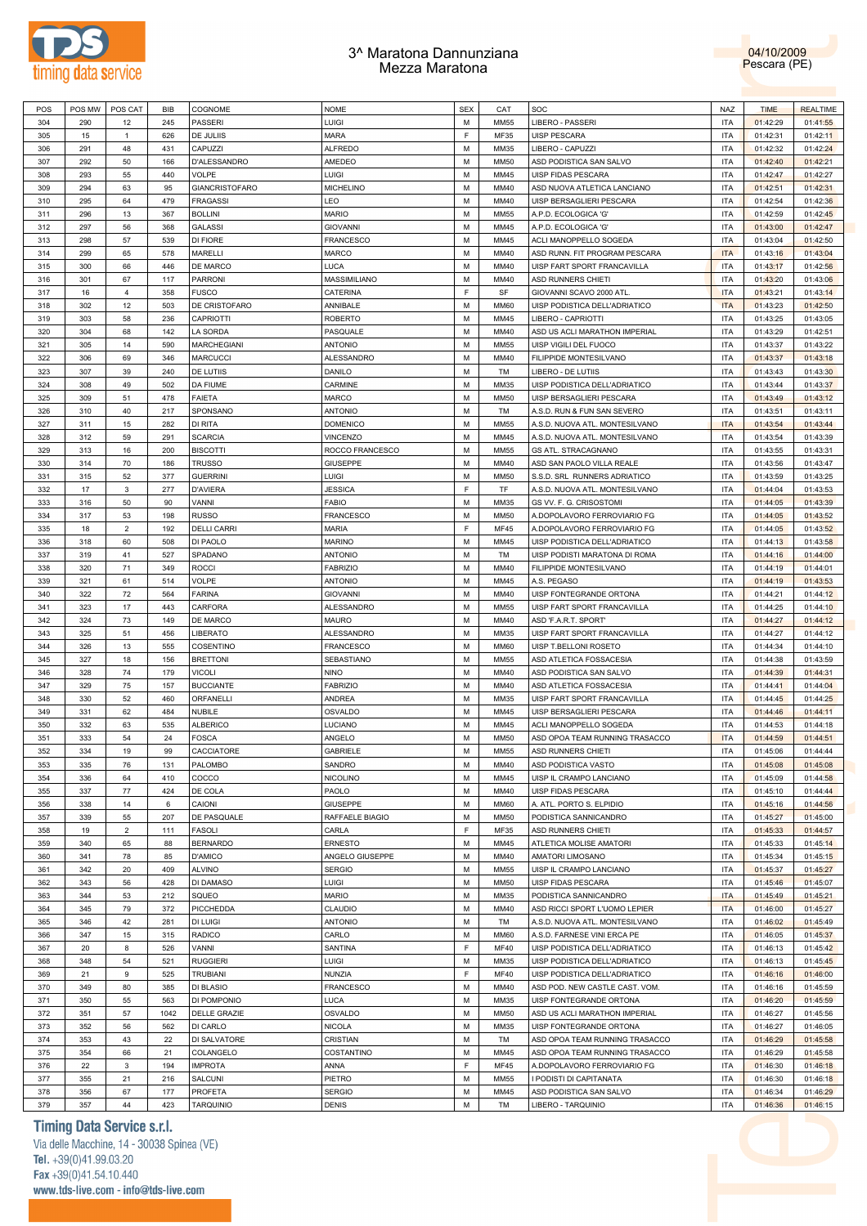



| POS | POS MW | POS CAT        | <b>BIB</b> |                       | <b>NOME</b>      | <b>SEX</b> |             | SOC                            | <b>NAZ</b> |             | <b>REALTIME</b> |
|-----|--------|----------------|------------|-----------------------|------------------|------------|-------------|--------------------------------|------------|-------------|-----------------|
|     |        |                |            | COGNOME               |                  |            | CAT         |                                |            | <b>TIME</b> |                 |
| 304 | 290    | 12             | 245        | PASSERI               | LUIGI            | М          | <b>MM55</b> | LIBERO - PASSERI               | <b>ITA</b> | 01:42:29    | 01:41:55        |
| 305 | 15     | $\mathbf{1}$   | 626        | DE JULIIS             | <b>MARA</b>      | E          | MF35        | UISP PESCARA                   | <b>ITA</b> | 01:42:31    | 01:42:11        |
| 306 | 291    | 48             | 431        | CAPUZZI               | <b>ALFREDO</b>   | М          | MM35        | LIBERO - CAPUZZI               | <b>ITA</b> | 01:42:32    | 01:42:24        |
| 307 | 292    | 50             | 166        | D'ALESSANDRO          | AMEDEO           | М          | <b>MM50</b> | ASD PODISTICA SAN SALVO        | <b>ITA</b> | 01:42:40    | 01:42:21        |
|     |        |                |            |                       |                  | М          |             |                                |            |             |                 |
| 308 | 293    | 55             | 440        | VOLPE                 | Luigi            |            | MM45        | UISP FIDAS PESCARA             | <b>ITA</b> | 01:42:47    | 01:42:27        |
| 309 | 294    | 63             | 95         | <b>GIANCRISTOFARO</b> | <b>MICHELINO</b> | М          | MM40        | ASD NUOVA ATLETICA LANCIANO    | <b>ITA</b> | 01:42:51    | 01:42:31        |
| 310 | 295    | 64             | 479        | <b>FRAGASSI</b>       | LEO              | М          | MM40        | UISP BERSAGLIERI PESCARA       | <b>ITA</b> | 01:42:54    | 01:42:36        |
| 311 | 296    | 13             | 367        | <b>BOLLINI</b>        | <b>MARIO</b>     | М          | MM55        | A.P.D. ECOLOGICA 'G'           | <b>ITA</b> | 01:42:59    | 01:42:45        |
| 312 | 297    | 56             | 368        | <b>GALASSI</b>        | <b>GIOVANNI</b>  | М          | MM45        | A.P.D. ECOLOGICA 'G'           | <b>ITA</b> | 01:43:00    | 01:42:47        |
|     |        |                |            |                       |                  |            |             |                                |            |             |                 |
| 313 | 298    | 57             | 539        | DI FIORE              | <b>FRANCESCO</b> | М          | MM45        | ACLI MANOPPELLO SOGEDA         | <b>ITA</b> | 01:43:04    | 01:42:50        |
| 314 | 299    | 65             | 578        | MARELLI               | MARCO            | М          | MM40        | ASD RUNN. FIT PROGRAM PESCARA  | <b>ITA</b> | 01:43:16    | 01:43:04        |
| 315 | 300    | 66             | 446        | DE MARCO              | LUCA             | М          | MM40        | UISP FART SPORT FRANCAVILLA    | <b>ITA</b> | 01:43:17    | 01:42:56        |
| 316 | 301    | 67             | 117        | <b>PARRONI</b>        | MASSIMILIANO     | М          | MM40        | ASD RUNNERS CHIETI             | <b>ITA</b> | 01:43:20    | 01:43:06        |
| 317 | 16     | 4              | 358        | <b>FUSCO</b>          | CATERINA         | E          | SF          | GIOVANNI SCAVO 2000 ATL        | <b>ITA</b> | 01:43:21    | 01:43:14        |
|     |        |                |            |                       |                  |            |             |                                |            |             |                 |
| 318 | 302    | 12             | 503        | DE CRISTOFARO         | ANNIBALE         | М          | <b>MM60</b> | UISP PODISTICA DELL'ADRIATICO  | <b>ITA</b> | 01:43:23    | 01:42:50        |
| 319 | 303    | 58             | 236        | CAPRIOTTI             | <b>ROBERTO</b>   | М          | MM45        | LIBERO - CAPRIOTTI             | <b>ITA</b> | 01:43:25    | 01:43:05        |
| 320 | 304    | 68             | 142        | LA SORDA              | PASQUALE         | М          | MM40        | ASD US ACLI MARATHON IMPERIAL  | <b>ITA</b> | 01:43:29    | 01:42:51        |
| 321 | 305    | 14             | 590        | <b>MARCHEGIANI</b>    | <b>ANTONIO</b>   | М          | MM55        | UISP VIGILI DEL FUOCO          | <b>ITA</b> | 01:43:37    | 01:43:22        |
| 322 | 306    | 69             | 346        | <b>MARCUCCI</b>       | ALESSANDRO       | М          | MM40        | FILIPPIDE MONTESILVANO         | <b>ITA</b> | 01:43:37    |                 |
|     |        |                |            |                       |                  |            |             |                                |            |             | 01:43:18        |
| 323 | 307    | 39             | 240        | DE LUTIIS             | DANILO           | М          | TM          | LIBERO - DE LUTIIS             | <b>ITA</b> | 01:43:43    | 01:43:30        |
| 324 | 308    | 49             | 502        | DA FIUME              | CARMINE          | М          | MM35        | UISP PODISTICA DELL'ADRIATICO  | <b>ITA</b> | 01:43:44    | 01:43:37        |
| 325 | 309    | 51             | 478        | <b>FAIETA</b>         | MARCO            | М          | <b>MM50</b> | UISP BERSAGLIERI PESCARA       | <b>ITA</b> | 01:43:49    | 01:43:12        |
| 326 | 310    | 40             | 217        | SPONSANO              | <b>ANTONIO</b>   | М          | TM          | A.S.D. RUN & FUN SAN SEVERO    | <b>ITA</b> | 01:43:51    | 01:43:11        |
|     |        |                |            |                       |                  |            |             |                                |            |             |                 |
| 327 | 311    | 15             | 282        | DI RITA               | <b>DOMENICO</b>  | М          | MM55        | A.S.D. NUOVA ATL. MONTESILVANO | <b>ITA</b> | 01:43:54    | 01:43:44        |
| 328 | 312    | 59             | 291        | <b>SCARCIA</b>        | <b>VINCENZO</b>  | М          | MM45        | A.S.D. NUOVA ATL. MONTESILVANO | <b>ITA</b> | 01:43:54    | 01:43:39        |
| 329 | 313    | 16             | 200        | <b>BISCOTTI</b>       | ROCCO FRANCESCO  | М          | MM55        | GS ATL. STRACAGNANO            | <b>ITA</b> | 01:43:55    | 01:43:31        |
| 330 | 314    | 70             | 186        | <b>TRUSSO</b>         | GIUSEPPE         | М          | MM40        | ASD SAN PAOLO VILLA REALE      | <b>ITA</b> | 01:43:56    | 01:43:47        |
|     |        |                |            |                       |                  |            |             |                                |            |             |                 |
| 331 | 315    | 52             | 377        | <b>GUERRINI</b>       | LUIGI            | М          | <b>MM50</b> | S.S.D. SRL RUNNERS ADRIATICO   | <b>ITA</b> | 01:43:59    | 01:43:25        |
| 332 | 17     | 3              | 277        | <b>D'AVIERA</b>       | <b>JESSICA</b>   | E          | TF          | A.S.D. NUOVA ATL. MONTESILVANO | <b>ITA</b> | 01:44:04    | 01:43:53        |
| 333 | 316    | 50             | 90         | VANNI                 | <b>FABIO</b>     | М          | MM35        | GS VV. F. G. CRISOSTOMI        | <b>ITA</b> | 01:44:05    | 01:43:39        |
| 334 | 317    | 53             | 198        | <b>RUSSO</b>          | <b>FRANCESCO</b> | М          | MM50        | A.DOPOLAVORO FERROVIARIO FG    | <b>ITA</b> | 01:44:05    | 01:43:52        |
| 335 | 18     | $\overline{2}$ | 192        | <b>DELLI CARRI</b>    | <b>MARIA</b>     | F          | <b>MF45</b> | A.DOPOLAVORO FERROVIARIO FG    | <b>ITA</b> | 01:44:05    | 01:43:52        |
|     |        |                |            |                       |                  |            |             |                                |            |             |                 |
| 336 | 318    | 60             | 508        | DI PAOLO              | MARINO           | М          | MM45        | UISP PODISTICA DELL'ADRIATICO  | <b>ITA</b> | 01:44:13    | 01:43:58        |
| 337 | 319    | 41             | 527        | SPADANO               | <b>ANTONIO</b>   | М          | TM          | UISP PODISTI MARATONA DI ROMA  | <b>ITA</b> | 01:44:16    | 01:44:00        |
| 338 | 320    | 71             | 349        | <b>ROCCI</b>          | <b>FABRIZIO</b>  | М          | MM40        | FILIPPIDE MONTESILVANO         | <b>ITA</b> | 01:44:19    | 01:44:01        |
| 339 | 321    | 61             | 514        | VOLPE                 | <b>ANTONIO</b>   | М          | MM45        | A.S. PEGASO                    | <b>ITA</b> | 01:44:19    | 01:43:53        |
|     |        |                |            |                       |                  |            |             |                                |            |             |                 |
| 340 | 322    | 72             | 564        | <b>FARINA</b>         | <b>GIOVANNI</b>  | М          | MM40        | UISP FONTEGRANDE ORTONA        | <b>ITA</b> | 01:44:21    | 01:44:12        |
| 341 | 323    | 17             | 443        | CARFORA               | ALESSANDRO       | М          | <b>MM55</b> | UISP FART SPORT FRANCAVILLA    | <b>ITA</b> | 01:44:25    | 01:44:10        |
| 342 | 324    | 73             | 149        | DE MARCO              | MAURO            | М          | MM40        | ASD 'F.A.R.T. SPORT'           | <b>ITA</b> | 01:44:27    | 01:44:12        |
| 343 | 325    | 51             | 456        | LIBERATO              | ALESSANDRO       | М          | MM35        | UISP FART SPORT FRANCAVILLA    | <b>ITA</b> | 01:44:27    | 01:44:12        |
| 344 | 326    | 13             | 555        | COSENTINO             | FRANCESCO        | М          | MM60        | UISP T.BELLONI ROSETO          | <b>ITA</b> | 01:44:34    | 01:44:10        |
|     |        |                |            |                       |                  |            |             |                                |            |             |                 |
| 345 | 327    | 18             | 156        | <b>BRETTONI</b>       | SEBASTIANO       | М          | <b>MM55</b> | ASD ATLETICA FOSSACESIA        | <b>ITA</b> | 01:44:38    | 01:43:59        |
| 346 | 328    | 74             | 179        | <b>VICOLI</b>         | NINO             | М          | MM40        | ASD PODISTICA SAN SALVO        | <b>ITA</b> | 01:44:39    | 01:44:31        |
| 347 | 329    | 75             | 157        | <b>BUCCIANTE</b>      | <b>FABRIZIO</b>  | М          | MM40        | ASD ATLETICA FOSSACESIA        | <b>ITA</b> | 01:44:41    | 01:44:04        |
| 348 | 330    | 52             | 460        | ORFANELLI             | ANDREA           | М          | MM35        | UISP FART SPORT FRANCAVILLA    | <b>ITA</b> | 01:44:45    | 01:44:25        |
| 349 | 331    | 62             | 484        | NUBILE                | OSVALDO          | М          | MM45        | UISP BERSAGLIERI PESCARA       | <b>ITA</b> | 01:44:46    | 01:44:11        |
|     |        |                |            |                       |                  |            |             |                                |            |             |                 |
| 350 | 332    | 63             | 535        | <b>ALBERICO</b>       | LUCIANO          | М          | MM45        | ACLI MANOPPELLO SOGEDA         | <b>ITA</b> | 01:44:53    | 01:44:18        |
| 351 | 333    | 54             | 24         | <b>FOSCA</b>          | ANGELO           | М          | <b>MM50</b> | ASD OPOA TEAM RUNNING TRASACCO | <b>ITA</b> | 01:44:59    | 01:44:51        |
| 352 | 334    | 19             | 99         | CACCIATORE            | GABRIELE         | М          | <b>MM55</b> | ASD RUNNERS CHIETI             | ITA        | 01:45:06    | 01:44:44        |
| 353 | 335    | 76             | 131        | PALOMBO               | SANDRO           | М          | MM40        | ASD PODISTICA VASTO            | <b>ITA</b> | 01:45:08    | 01:45:08        |
| 354 | 336    | 64             | 410        | COCCO                 | NICOLINO         | М          | MM45        | UISP IL CRAMPO LANCIANO        | <b>ITA</b> | 01:45:09    | 01:44:58        |
|     |        |                |            |                       |                  |            |             |                                |            |             |                 |
| 355 | 337    | 77             | 424        | DE COLA               | PAOLO            | М          | MM40        | UISP FIDAS PESCARA             | <b>ITA</b> | 01:45:10    | 01:44:44        |
| 356 | 338    | 14             | 6          | CAIONI                | <b>GIUSEPPE</b>  | M          | <b>MM60</b> | A. ATL. PORTO S. ELPIDIO       | <b>ITA</b> | 01:45:16    | 01:44:56        |
| 357 | 339    | 55             | 207        | DE PASQUALE           | RAFFAELE BIAGIO  | М          | <b>MM50</b> | PODISTICA SANNICANDRO          | <b>ITA</b> | 01:45:27    | 01:45:00        |
| 358 | 19     | $\overline{2}$ | 111        | <b>FASOLI</b>         | CARLA            | F          | MF35        | ASD RUNNERS CHIETI             | <b>ITA</b> | 01:45:33    | 01:44:57        |
| 359 | 340    | 65             | 88         | <b>BERNARDO</b>       | <b>ERNESTO</b>   | М          | MM45        | ATLETICA MOLISE AMATORI        | <b>ITA</b> | 01:45:33    | 01:45:14        |
|     |        |                |            |                       |                  |            |             |                                |            |             |                 |
| 360 | 341    | 78             | 85         | <b>D'AMICO</b>        | ANGELO GIUSEPPE  | M          | MM40        | AMATORI LIMOSANO               | <b>ITA</b> | 01:45:34    | 01:45:15        |
| 361 | 342    | 20             | 409        | <b>ALVINO</b>         | <b>SERGIO</b>    | М          | <b>MM55</b> | UISP IL CRAMPO LANCIANO        | <b>ITA</b> | 01:45:37    | 01:45:27        |
| 362 | 343    | 56             | 428        | DI DAMASO             | LUIGI            | M          | <b>MM50</b> | UISP FIDAS PESCARA             | <b>ITA</b> | 01:45:46    | 01:45:07        |
| 363 | 344    | 53             | 212        | SQUEO                 | <b>MARIO</b>     | M          | MM35        | PODISTICA SANNICANDRO          | <b>ITA</b> | 01:45:49    | 01:45:21        |
|     |        | 79             |            |                       | CLAUDIO          | М          | MM40        | ASD RICCI SPORT L'UOMO LEPIER  | <b>ITA</b> |             |                 |
| 364 | 345    |                | 372        | PICCHEDDA             |                  |            |             |                                |            | 01:46:00    | 01:45:27        |
| 365 | 346    | 42             | 281        | <b>DI LUIGI</b>       | <b>ANTONIO</b>   | М          | TM          | A.S.D. NUOVA ATL. MONTESILVANO | <b>ITA</b> | 01:46:02    | 01:45:49        |
| 366 | 347    | 15             | 315        | <b>RADICO</b>         | CARLO            | М          | <b>MM60</b> | A.S.D. FARNESE VINI ERCA PE    | <b>ITA</b> | 01:46:05    | 01:45:37        |
| 367 | 20     | 8              | 526        | VANNI                 | SANTINA          | F          | <b>MF40</b> | UISP PODISTICA DELL'ADRIATICO  | <b>ITA</b> | 01:46:13    | 01:45:42        |
| 368 | 348    | 54             | 521        | <b>RUGGIERI</b>       | LUIGI            | M          | MM35        | UISP PODISTICA DELL'ADRIATICO  | <b>ITA</b> | 01:46:13    | 01:45:45        |
|     |        |                |            |                       |                  | F          | <b>MF40</b> |                                |            |             |                 |
| 369 | 21     | 9              | 525        | <b>TRUBIANI</b>       | NUNZIA           |            |             | UISP PODISTICA DELL'ADRIATICO  | <b>ITA</b> | 01:46:16    | 01:46:00        |
| 370 | 349    | 80             | 385        | DI BLASIO             | FRANCESCO        | M          | MM40        | ASD POD. NEW CASTLE CAST. VOM. | <b>ITA</b> | 01:46:16    | 01:45:59        |
| 371 | 350    | 55             | 563        | DI POMPONIO           | LUCA             | M          | MM35        | UISP FONTEGRANDE ORTONA        | <b>ITA</b> | 01:46:20    | 01:45:59        |
| 372 | 351    | 57             | 1042       | DELLE GRAZIE          | OSVALDO          | M          | <b>MM50</b> | ASD US ACLI MARATHON IMPERIAL  | <b>ITA</b> | 01:46:27    | 01:45:56        |
| 373 | 352    | 56             | 562        | DI CARLO              | <b>NICOLA</b>    | М          | MM35        | UISP FONTEGRANDE ORTONA        | <b>ITA</b> | 01:46:27    | 01:46:05        |
|     |        |                |            |                       |                  | M          |             |                                |            |             |                 |
| 374 | 353    | 43             | 22         | DI SALVATORE          | CRISTIAN         |            | TM          | ASD OPOA TEAM RUNNING TRASACCO | <b>ITA</b> | 01:46:29    | 01:45:58        |
| 375 | 354    | 66             | 21         | COLANGELO             | COSTANTINO       | М          | MM45        | ASD OPOA TEAM RUNNING TRASACCO | <b>ITA</b> | 01:46:29    | 01:45:58        |
| 376 | 22     | 3              | 194        | <b>IMPROTA</b>        | ANNA             | F          | <b>MF45</b> | A.DOPOLAVORO FERROVIARIO FG    | <b>ITA</b> | 01:46:30    | 01:46:18        |
| 377 | 355    | 21             | 216        | SALCUNI               | PIETRO           | М          | <b>MM55</b> | I PODISTI DI CAPITANATA        | <b>ITA</b> | 01:46:30    | 01:46:18        |
| 378 | 356    | 67             | 177        | PROFETA               | <b>SERGIO</b>    | M          | MM45        | ASD PODISTICA SAN SALVO        | <b>ITA</b> | 01:46:34    | 01:46:29        |
|     |        |                |            |                       |                  |            |             |                                |            |             |                 |
| 379 | 357    | 44             | 423        | <b>TARQUINIO</b>      | <b>DENIS</b>     | М          | TM          | LIBERO - TARQUINIO             | <b>ITA</b> | 01:46:36    | 01:46:15        |

# **Timing Data Service s.r.l.**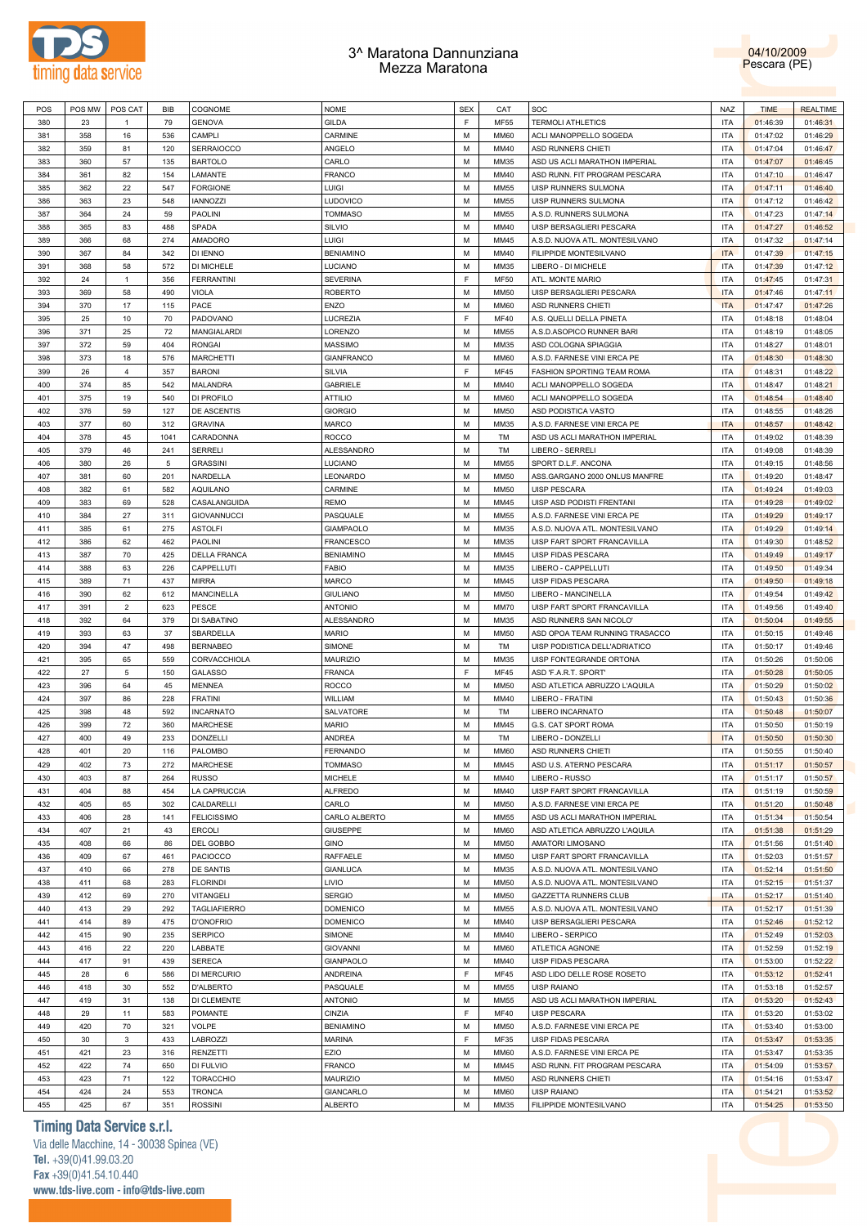



| POS | POS MW | POS CAT        | BIB  | COGNOME            | <b>NOME</b>       | <b>SEX</b> | CAT         | SOC                            | NAZ        | <b>TIME</b> | <b>REALTIME</b> |
|-----|--------|----------------|------|--------------------|-------------------|------------|-------------|--------------------------------|------------|-------------|-----------------|
| 380 | 23     | -1             | 79   | GENOVA             | <b>GILDA</b>      | F          | MF55        | <b>TERMOLI ATHLETICS</b>       | <b>ITA</b> | 01:46:39    | 01:46:31        |
| 381 | 358    |                | 536  | CAMPLI             | CARMINE           | М          | MM60        |                                | <b>ITA</b> |             |                 |
|     |        | 16             |      |                    |                   |            |             | ACLI MANOPPELLO SOGEDA         |            | 01:47:02    | 01:46:29        |
| 382 | 359    | 81             | 120  | <b>SERRAIOCCO</b>  | ANGELO            | М          | MM40        | ASD RUNNERS CHIETI             | ITA        | 01:47:04    | 01:46:47        |
| 383 | 360    | 57             | 135  | <b>BARTOLO</b>     | CARLO             | M          | MM35        | ASD US ACLI MARATHON IMPERIAL  | <b>ITA</b> | 01:47:07    | 01:46:45        |
| 384 | 361    | 82             | 154  | LAMANTE            | <b>FRANCO</b>     | М          | MM40        | ASD RUNN. FIT PROGRAM PESCARA  | <b>ITA</b> | 01:47:10    | 01:46:47        |
| 385 | 362    | 22             | 547  | FORGIONE           | LUIGI             | M          | MM55        | UISP RUNNERS SULMONA           | <b>ITA</b> | 01:47:11    | 01:46:40        |
| 386 | 363    | 23             | 548  | <b>IANNOZZI</b>    | <b>LUDOVICO</b>   | М          | MM55        | UISP RUNNERS SULMONA           | <b>ITA</b> | 01:47:12    | 01:46:42        |
|     |        |                |      |                    |                   |            |             |                                |            |             |                 |
| 387 | 364    | 24             | 59   | PAOLINI            | <b>TOMMASO</b>    | M          | MM55        | A.S.D. RUNNERS SULMONA         | <b>ITA</b> | 01:47:23    | 01:47:14        |
| 388 | 365    | 83             | 488  | SPADA              | SILVIO            | М          | MM40        | UISP BERSAGLIERI PESCARA       | <b>ITA</b> | 01:47:27    | 01:46:52        |
| 389 | 366    | 68             | 274  | AMADORO            | LUIGI             | M          | MM45        | A.S.D. NUOVA ATL. MONTESILVANO | <b>ITA</b> | 01:47:32    | 01:47:14        |
| 390 | 367    | 84             | 342  | DI IENNO           | <b>BENIAMINO</b>  | М          | MM40        | FILIPPIDE MONTESILVANO         | <b>ITA</b> | 01:47:39    | 01:47:15        |
| 391 | 368    | 58             | 572  | DI MICHELE         | LUCIANO           | M          | MM35        | LIBERO - DI MICHELE            | <b>ITA</b> | 01:47:39    | 01:47:12        |
|     |        |                |      |                    |                   |            |             |                                |            |             |                 |
| 392 | 24     | $\mathbf{1}$   | 356  | FERRANTINI         | <b>SEVERINA</b>   | F          | <b>MF50</b> | ATL. MONTE MARIO               | <b>ITA</b> | 01:47:45    | 01:47:31        |
| 393 | 369    | 58             | 490  | VIOLA              | <b>ROBERTO</b>    | M          | MM50        | UISP BERSAGLIERI PESCARA       | <b>ITA</b> | 01:47:46    | 01:47:11        |
| 394 | 370    | 17             | 115  | PACE               | ENZO              | М          | MM60        | ASD RUNNERS CHIETI             | <b>ITA</b> | 01:47:47    | 01:47:26        |
| 395 | 25     | 10             | 70   | PADOVANO           | LUCREZIA          | F          | MF40        | A.S. QUELLI DELLA PINETA       | <b>ITA</b> | 01:48:18    | 01:48:04        |
| 396 | 371    | 25             | 72   | MANGIALARDI        | LORENZO           | М          | MM55        | A.S.D.ASOPICO RUNNER BARI      | <b>ITA</b> | 01:48:19    | 01:48:05        |
| 397 |        | 59             | 404  |                    |                   | M          |             |                                | <b>ITA</b> |             |                 |
|     | 372    |                |      | RONGAI             | <b>MASSIMO</b>    |            | MM35        | ASD COLOGNA SPIAGGIA           |            | 01:48:27    | 01:48:01        |
| 398 | 373    | 18             | 576  | MARCHETTI          | <b>GIANFRANCO</b> | М          | MM60        | A.S.D. FARNESE VINI ERCA PE    | <b>ITA</b> | 01:48:30    | 01:48:30        |
| 399 | 26     | 4              | 357  | <b>BARONI</b>      | SILVIA            | F          | MF45        | FASHION SPORTING TEAM ROMA     | <b>ITA</b> | 01:48:31    | 01:48:22        |
| 400 | 374    | 85             | 542  | MALANDRA           | GABRIELE          | М          | MM40        | ACLI MANOPPELLO SOGEDA         | <b>ITA</b> | 01:48:47    | 01:48:21        |
| 401 | 375    | 19             | 540  | DI PROFILO         | <b>ATTILIO</b>    | M          | MM60        | ACLI MANOPPELLO SOGEDA         | <b>ITA</b> | 01:48:54    | 01:48:40        |
|     | 376    |                |      |                    | <b>GIORGIO</b>    | М          |             |                                |            |             |                 |
| 402 |        | 59             | 127  | DE ASCENTIS        |                   |            | MM50        | ASD PODISTICA VASTO            | <b>ITA</b> | 01:48:55    | 01:48:26        |
| 403 | 377    | 60             | 312  | <b>GRAVINA</b>     | <b>MARCO</b>      | M          | MM35        | A.S.D. FARNESE VINI ERCA PE    | <b>ITA</b> | 01:48:57    | 01:48:42        |
| 404 | 378    | 45             | 1041 | CARADONNA          | <b>ROCCO</b>      | М          | TM          | ASD US ACLI MARATHON IMPERIAL  | <b>ITA</b> | 01:49:02    | 01:48:39        |
| 405 | 379    | 46             | 241  | <b>SERRELI</b>     | ALESSANDRO        | M          | TM          | LIBERO - SERRELI               | <b>ITA</b> | 01:49:08    | 01:48:39        |
| 406 | 380    | 26             | 5    | GRASSINI           | LUCIANO           | M          | MM55        | SPORT D.L.F. ANCONA            | <b>ITA</b> | 01:49:15    | 01:48:56        |
| 407 | 381    | 60             | 201  | NARDELLA           |                   | M          | MM50        |                                | <b>ITA</b> |             |                 |
|     |        |                |      |                    | LEONARDO          |            |             | ASS.GARGANO 2000 ONLUS MANFRE  |            | 01:49:20    | 01:48:47        |
| 408 | 382    | 61             | 582  | AQUILANO           | <b>CARMINE</b>    | М          | MM50        | <b>UISP PESCARA</b>            | <b>ITA</b> | 01:49:24    | 01:49:03        |
| 409 | 383    | 69             | 528  | CASALANGUIDA       | <b>REMO</b>       | M          | MM45        | UISP ASD PODISTI FRENTANI      | <b>ITA</b> | 01:49:28    | 01:49:02        |
| 410 | 384    | 27             | 311  | <b>GIOVANNUCCI</b> | PASQUALE          | М          | MM55        | A.S.D. FARNESE VINI ERCA PE    | <b>ITA</b> | 01:49:29    | 01:49:17        |
| 411 | 385    | 61             | 275  | <b>ASTOLFI</b>     | <b>GIAMPAOLO</b>  | M          | MM35        | A.S.D. NUOVA ATL. MONTESILVANO | <b>ITA</b> | 01:49:29    | 01:49:14        |
|     |        |                |      |                    |                   |            |             |                                |            |             |                 |
| 412 | 386    | 62             | 462  | PAOLINI            | <b>FRANCESCO</b>  | М          | MM35        | UISP FART SPORT FRANCAVILLA    | <b>ITA</b> | 01:49:30    | 01:48:52        |
| 413 | 387    | 70             | 425  | DELLA FRANCA       | <b>BENIAMINO</b>  | M          | MM45        | UISP FIDAS PESCARA             | <b>ITA</b> | 01:49:49    | 01:49:17        |
| 414 | 388    | 63             | 226  | CAPPELLUTI         | <b>FABIO</b>      | М          | MM35        | LIBERO - CAPPELLUTI            | <b>ITA</b> | 01:49:50    | 01:49:34        |
| 415 | 389    | 71             | 437  | MIRRA              | <b>MARCO</b>      | M          | MM45        | UISP FIDAS PESCARA             | <b>ITA</b> | 01:49:50    | 01:49:18        |
| 416 | 390    | 62             | 612  | MANCINELLA         | <b>GIULIANO</b>   | М          | MM50        | LIBERO - MANCINELLA            | <b>ITA</b> | 01:49:54    | 01:49:42        |
|     |        |                |      |                    |                   | M          |             |                                |            |             |                 |
| 417 | 391    | $\overline{2}$ | 623  | PESCE              | <b>ANTONIO</b>    |            | MM70        | UISP FART SPORT FRANCAVILLA    | <b>ITA</b> | 01:49:56    | 01:49:40        |
| 418 | 392    | 64             | 379  | DI SABATINO        | ALESSANDRO        | М          | MM35        | ASD RUNNERS SAN NICOLO'        | <b>ITA</b> | 01:50:04    | 01:49:55        |
| 419 | 393    | 63             | 37   | SBARDELLA          | <b>MARIO</b>      | M          | MM50        | ASD OPOA TEAM RUNNING TRASACCO | <b>ITA</b> | 01:50:15    | 01:49:46        |
| 420 | 394    | 47             | 498  | <b>BERNABEO</b>    | SIMONE            | М          | TM          | UISP PODISTICA DELL'ADRIATICO  | <b>ITA</b> | 01:50:17    | 01:49:46        |
| 421 | 395    | 65             | 559  | CORVACCHIOLA       | MAURIZIO          | M          | MM35        | UISP FONTEGRANDE ORTONA        | <b>ITA</b> | 01:50:26    | 01:50:06        |
| 422 | 27     | 5              |      | <b>GALASSO</b>     |                   | E          |             |                                | <b>ITA</b> |             |                 |
|     |        |                | 150  |                    | <b>FRANCA</b>     |            | MF45        | ASD 'F.A.R.T. SPORT'           |            | 01:50:28    | 01:50:05        |
| 423 | 396    | 64             | 45   | MENNEA             | <b>ROCCO</b>      | M          | MM50        | ASD ATLETICA ABRUZZO L'AQUILA  | <b>ITA</b> | 01:50:29    | 01:50:02        |
| 424 | 397    | 86             | 228  | FRATINI            | <b>WILLIAM</b>    | М          | MM40        | LIBERO - FRATINI               | <b>ITA</b> | 01:50:43    | 01:50:36        |
| 425 | 398    | 48             | 592  | INCARNATO          | SALVATORE         | M          | TM          | LIBERO INCARNATO               | <b>ITA</b> | 01:50:48    | 01:50:07        |
| 426 | 399    | 72             | 360  | MARCHESE           | <b>MARIO</b>      | М          | MM45        | G.S. CAT SPORT ROMA            | <b>ITA</b> | 01:50:50    | 01:50:19        |
| 427 | 400    | 49             | 233  | <b>DONZELLI</b>    |                   | M          |             |                                | <b>ITA</b> |             |                 |
|     |        |                |      |                    | ANDREA            |            | TM          | LIBERO - DONZELLI              |            | 01:50:50    | 01:50:30        |
| 428 | 401    | 20             | 116  | <b>PALOMBO</b>     | <b>FERNANDO</b>   | M          | <b>MM60</b> | ASD RUNNERS CHIETI             | <b>ITA</b> | 01:50:55    | 01:50:40        |
| 429 | 402    | 73             | 272  | MARCHESE           | <b>TOMMASO</b>    | м          | MM45        | ASD U.S. ATERNO PESCARA        | <b>ITA</b> | 01:51:17    | 01:50:57        |
| 430 | 403    | 87             | 264  | <b>RUSSO</b>       | <b>MICHELE</b>    | M          | MM40        | LIBERO - RUSSO                 | <b>ITA</b> | 01:51:17    | 01:50:57        |
| 431 | 404    | 88             | 454  | LA CAPRUCCIA       | <b>ALFREDO</b>    | M          | MM40        | UISP FART SPORT FRANCAVILLA    | <b>ITA</b> | 01:51:19    | 01:50:59        |
| 432 | 405    | 65             | 302  | CALDARELLI         | CARLO             | M          | <b>MM50</b> | A.S.D. FARNESE VINI ERCA PE    | <b>ITA</b> | 01:51:20    | 01:50:48        |
|     |        |                |      |                    |                   |            |             |                                |            |             |                 |
| 433 | 406    | 28             | 141  | <b>FELICISSIMO</b> | CARLO ALBERTO     | M          | MM55        | ASD US ACLI MARATHON IMPERIAL  | <b>ITA</b> | 01:51:34    | 01:50:54        |
| 434 | 407    | 21             | 43   | <b>ERCOLI</b>      | <b>GIUSEPPE</b>   | M          | MM60        | ASD ATLETICA ABRUZZO L'AQUILA  | <b>ITA</b> | 01:51:38    | 01:51:29        |
| 435 | 408    | 66             | 86   | DEL GOBBO          | <b>GINO</b>       | M          | MM50        | AMATORI LIMOSANO               | <b>ITA</b> | 01:51:56    | 01:51:40        |
| 436 | 409    | 67             | 461  | PACIOCCO           | RAFFAELE          | M          | <b>MM50</b> | UISP FART SPORT FRANCAVILLA    | <b>ITA</b> | 01:52:03    | 01:51:57        |
| 437 | 410    | 66             | 278  | DE SANTIS          | <b>GIANLUCA</b>   | M          | MM35        | A.S.D. NUOVA ATL. MONTESILVANO | <b>ITA</b> | 01:52:14    | 01:51:50        |
|     |        |                |      |                    |                   |            |             |                                |            |             |                 |
| 438 | 411    | 68             | 283  | <b>FLORINDI</b>    | LIVIO             | M          | MM50        | A.S.D. NUOVA ATL. MONTESILVANO | <b>ITA</b> | 01:52:15    | 01:51:37        |
| 439 | 412    | 69             | 270  | VITANGELI          | <b>SERGIO</b>     | M          | MM50        | <b>GAZZETTA RUNNERS CLUB</b>   | <b>ITA</b> | 01:52:17    | 01:51:40        |
| 440 | 413    | 29             | 292  | TAGLIAFIERRO       | <b>DOMENICO</b>   | M          | MM55        | A.S.D. NUOVA ATL. MONTESILVANO | <b>ITA</b> | 01:52:17    | 01:51:39        |
| 441 | 414    | 89             | 475  | <b>D'ONOFRIO</b>   | <b>DOMENICO</b>   | M          | MM40        | UISP BERSAGLIERI PESCARA       | <b>ITA</b> | 01:52:46    | 01:52:12        |
| 442 | 415    | 90             | 235  | SERPICO            | SIMONE            | M          | MM40        | LIBERO - SERPICO               | <b>ITA</b> | 01:52:49    | 01:52:03        |
|     |        |                |      |                    |                   |            |             |                                |            |             |                 |
| 443 | 416    | 22             | 220  | LABBATE            | <b>GIOVANNI</b>   | M          | <b>MM60</b> | ATLETICA AGNONE                | <b>ITA</b> | 01:52:59    | 01:52:19        |
| 444 | 417    | 91             | 439  | <b>SERECA</b>      | GIANPAOLO         | M          | MM40        | UISP FIDAS PESCARA             | ITA        | 01:53:00    | 01:52:22        |
| 445 | 28     | 6              | 586  | DI MERCURIO        | ANDREINA          | F          | MF45        | ASD LIDO DELLE ROSE ROSETO     | <b>ITA</b> | 01:53:12    | 01:52:41        |
| 446 | 418    | 30             | 552  | <b>D'ALBERTO</b>   | PASQUALE          | M          | MM55        | <b>UISP RAIANO</b>             | ITA        | 01:53:18    | 01:52:57        |
| 447 | 419    | 31             | 138  | DI CLEMENTE        | <b>ANTONIO</b>    | M          | MM55        | ASD US ACLI MARATHON IMPERIAL  | <b>ITA</b> | 01:53:20    | 01:52:43        |
|     |        |                |      |                    |                   |            |             |                                |            |             |                 |
| 448 | 29     | 11             | 583  | POMANTE            | CINZIA            | F          | MF40        | UISP PESCARA                   | <b>ITA</b> | 01:53:20    | 01:53:02        |
| 449 | 420    | 70             | 321  | VOLPE              | <b>BENIAMINO</b>  | M          | MM50        | A.S.D. FARNESE VINI ERCA PE    | <b>ITA</b> | 01:53:40    | 01:53:00        |
| 450 | 30     | 3              | 433  | <b>LABROZZI</b>    | <b>MARINA</b>     | F          | MF35        | UISP FIDAS PESCARA             | <b>ITA</b> | 01:53:47    | 01:53:35        |
| 451 | 421    | 23             | 316  | RENZETTI           | EZIO              | M          | <b>MM60</b> | A.S.D. FARNESE VINI ERCA PE    | <b>ITA</b> | 01:53:47    | 01:53:35        |
| 452 | 422    | 74             | 650  | DI FULVIO          | <b>FRANCO</b>     | M          | MM45        | ASD RUNN. FIT PROGRAM PESCARA  | <b>ITA</b> |             | 01:53:57        |
|     |        |                |      |                    |                   |            |             |                                |            | 01:54:09    |                 |
| 453 | 423    | 71             | 122  | <b>TORACCHIO</b>   | <b>MAURIZIO</b>   | M          | MM50        | ASD RUNNERS CHIETI             | <b>ITA</b> | 01:54:16    | 01:53:47        |
|     |        |                |      |                    |                   |            |             |                                |            |             |                 |
| 454 | 424    | 24             | 553  | TRONCA             | GIANCARLO         | M          | MM60        | <b>UISP RAIANO</b>             | <b>ITA</b> | 01:54:21    | 01:53:52        |

### **Timing Data Service s.r.l.**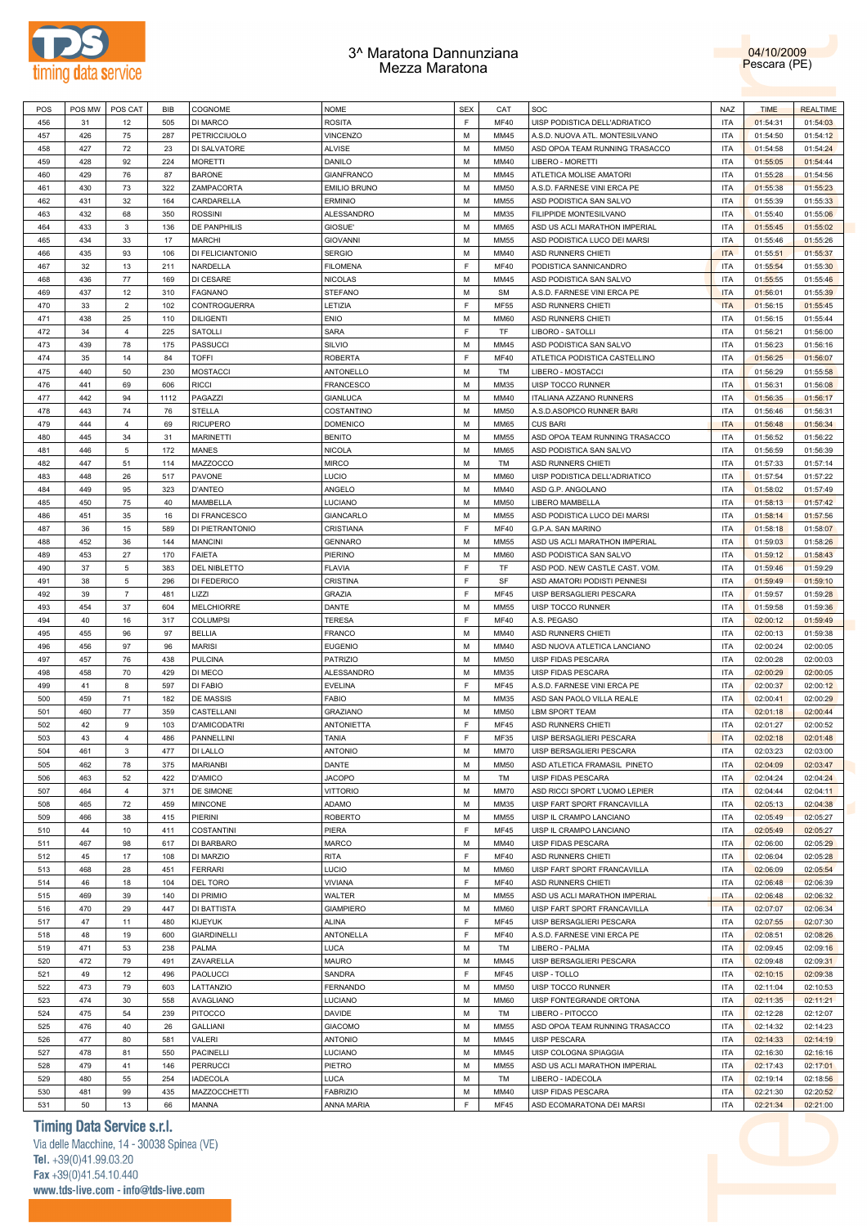



| POS | POS MW | POS CAT        | <b>BIB</b> | COGNOME             | <b>NOME</b>         | <b>SEX</b> | CAT         | SOC                            | <b>NAZ</b> | <b>TIME</b> | <b>REALTIME</b> |
|-----|--------|----------------|------------|---------------------|---------------------|------------|-------------|--------------------------------|------------|-------------|-----------------|
| 456 | 31     | 12             | 505        | DI MARCO            | <b>ROSITA</b>       | F.         | <b>MF40</b> | UISP PODISTICA DELL'ADRIATICO  | <b>ITA</b> | 01:54:31    | 01:54:03        |
| 457 | 426    | 75             | 287        | <b>PETRICCIUOLO</b> | <b>VINCENZO</b>     | M          | MM45        | A.S.D. NUOVA ATL. MONTESILVANO | <b>ITA</b> | 01:54:50    | 01:54:12        |
| 458 | 427    | 72             | 23         | DI SALVATORE        | <b>ALVISE</b>       | M          | <b>MM50</b> | ASD OPOA TEAM RUNNING TRASACCO | <b>ITA</b> | 01:54:58    | 01:54:24        |
| 459 | 428    | 92             | 224        | <b>MORETTI</b>      | <b>DANILO</b>       | M          | MM40        | LIBERO - MORETTI               | <b>ITA</b> | 01:55:05    | 01:54:44        |
| 460 | 429    | 76             | 87         | <b>BARONE</b>       | <b>GIANFRANCO</b>   | М          | MM45        | ATLETICA MOLISE AMATORI        | <b>ITA</b> | 01:55:28    | 01:54:56        |
| 461 |        | 73             | 322        |                     | <b>EMILIO BRUNO</b> | M          | MM50        |                                | <b>ITA</b> |             |                 |
|     | 430    |                |            | ZAMPACORTA          |                     |            |             | A.S.D. FARNESE VINI ERCA PE    |            | 01:55:38    | 01:55:23        |
| 462 | 431    | 32             | 164        | CARDARELLA          | <b>ERMINIO</b>      | М          | MM55        | ASD PODISTICA SAN SALVO        | <b>ITA</b> | 01:55:39    | 01:55:33        |
| 463 | 432    | 68             | 350        | <b>ROSSINI</b>      | ALESSANDRO          | M          | MM35        | FILIPPIDE MONTESILVANO         | <b>ITA</b> | 01:55:40    | 01:55:06        |
| 464 | 433    | 3              | 136        | DE PANPHILIS        | GIOSUE'             | M          | MM65        | ASD US ACLI MARATHON IMPERIAL  | <b>ITA</b> | 01:55:45    | 01:55:02        |
| 465 | 434    | 33             | 17         | <b>MARCHI</b>       | <b>GIOVANNI</b>     | M          | MM55        | ASD PODISTICA LUCO DEI MARSI   | <b>ITA</b> | 01:55:46    | 01:55:26        |
| 466 | 435    | 93             | 106        | DI FELICIANTONIO    | <b>SERGIO</b>       | M          | MM40        | ASD RUNNERS CHIETI             | <b>ITA</b> | 01:55:51    | 01:55:37        |
| 467 | 32     | 13             | 211        | NARDELLA            | <b>FILOMENA</b>     | F.         | <b>MF40</b> | PODISTICA SANNICANDRO          | <b>ITA</b> | 01:55:54    | 01:55:30        |
| 468 | 436    | 77             | 169        | DI CESARE           | <b>NICOLAS</b>      | M          | MM45        | ASD PODISTICA SAN SALVO        | <b>ITA</b> | 01:55:55    | 01:55:46        |
| 469 | 437    | 12             | 310        | <b>FAGNANO</b>      | <b>STEFANO</b>      | M          | <b>SM</b>   | A.S.D. FARNESE VINI ERCA PE    | <b>ITA</b> | 01:56:01    | 01:55:39        |
| 470 | 33     | $\overline{2}$ | 102        | <b>CONTROGUERRA</b> | LETIZIA             | F          | <b>MF55</b> | ASD RUNNERS CHIETI             | <b>ITA</b> | 01:56:15    | 01:55:45        |
|     |        |                |            |                     |                     |            |             |                                |            |             |                 |
| 471 | 438    | 25             | 110        | <b>DILIGENTI</b>    | <b>ENIO</b>         | M          | <b>MM60</b> | ASD RUNNERS CHIETI             | <b>ITA</b> | 01:56:15    | 01:55:44        |
| 472 | 34     | $\overline{4}$ | 225        | <b>SATOLLI</b>      | <b>SARA</b>         | F          | <b>TF</b>   | LIBORO - SATOLLI               | <b>ITA</b> | 01:56:21    | 01:56:00        |
| 473 | 439    | 78             | 175        | <b>PASSUCCI</b>     | SILVIO              | M          | MM45        | ASD PODISTICA SAN SALVO        | <b>ITA</b> | 01:56:23    | 01:56:16        |
| 474 | 35     | 14             | 84         | <b>TOFFI</b>        | <b>ROBERTA</b>      | F          | <b>MF40</b> | ATLETICA PODISTICA CASTELLINO  | <b>ITA</b> | 01:56:25    | 01:56:07        |
| 475 | 440    | 50             | 230        | <b>MOSTACCI</b>     | ANTONELLO           | M          | TM          | LIBERO - MOSTACCI              | <b>ITA</b> | 01:56:29    | 01:55:58        |
| 476 | 441    | 69             | 606        | <b>RICCI</b>        | <b>FRANCESCO</b>    | М          | MM35        | UISP TOCCO RUNNER              | <b>ITA</b> | 01:56:31    | 01:56:08        |
| 477 | 442    | 94             | 1112       | PAGAZZI             | <b>GIANLUCA</b>     | M          | MM40        | <b>ITALIANA AZZANO RUNNERS</b> | <b>ITA</b> | 01:56:35    | 01:56:17        |
| 478 | 443    | 74             | 76         | <b>STELLA</b>       | COSTANTINO          | M          | MM50        | A.S.D.ASOPICO RUNNER BARI      | <b>ITA</b> | 01:56:46    | 01:56:31        |
| 479 | 444    | $\overline{4}$ | 69         | <b>RICUPERO</b>     | <b>DOMENICO</b>     | M          | MM65        | <b>CUS BARI</b>                | <b>ITA</b> | 01:56:48    | 01:56:34        |
|     |        |                |            |                     |                     |            |             |                                |            |             |                 |
| 480 | 445    | 34             | 31         | <b>MARINETTI</b>    | <b>BENITO</b>       | M          | <b>MM55</b> | ASD OPOA TEAM RUNNING TRASACCO | <b>ITA</b> | 01:56:52    | 01:56:22        |
| 481 | 446    | 5              | 172        | <b>MANES</b>        | <b>NICOLA</b>       | M          | MM65        | ASD PODISTICA SAN SALVO        | <b>ITA</b> | 01:56:59    | 01:56:39        |
| 482 | 447    | 51             | 114        | MAZZOCCO            | <b>MIRCO</b>        | M          | <b>TM</b>   | ASD RUNNERS CHIETI             | <b>ITA</b> | 01:57:33    | 01:57:14        |
| 483 | 448    | 26             | 517        | PAVONE              | LUCIO               | M          | <b>MM60</b> | UISP PODISTICA DELL'ADRIATICO  | <b>ITA</b> | 01:57:54    | 01:57:22        |
| 484 | 449    | 95             | 323        | <b>D'ANTEO</b>      | ANGELO              | М          | MM40        | ASD G.P. ANGOLANO              | <b>ITA</b> | 01:58:02    | 01:57:49        |
| 485 | 450    | 75             | 40         | MAMBELLA            | LUCIANO             | M          | MM50        | LIBERO MAMBELLA                | <b>ITA</b> | 01:58:13    | 01:57:42        |
| 486 | 451    | 35             | 16         | DI FRANCESCO        | <b>GIANCARLO</b>    | М          | MM55        | ASD PODISTICA LUCO DEI MARSI   | <b>ITA</b> | 01:58:14    | 01:57:56        |
| 487 | 36     | 15             | 589        | DI PIETRANTONIO     | CRISTIANA           | F          | <b>MF40</b> | G.P.A. SAN MARINO              | <b>ITA</b> | 01:58:18    | 01:58:07        |
| 488 | 452    | 36             | 144        | <b>MANCINI</b>      | <b>GENNARO</b>      | М          | MM55        | ASD US ACLI MARATHON IMPERIAL  | <b>ITA</b> | 01:59:03    | 01:58:26        |
|     |        |                |            |                     |                     | M          |             |                                |            |             |                 |
| 489 | 453    | 27             | 170        | <b>FAIETA</b>       | PIERINO             |            | <b>MM60</b> | ASD PODISTICA SAN SALVO        | <b>ITA</b> | 01:59:12    | 01:58:43        |
| 490 | 37     | 5              | 383        | <b>DEL NIBLETTO</b> | <b>FLAVIA</b>       | F          | TF          | ASD POD. NEW CASTLE CAST. VOM. | <b>ITA</b> | 01:59:46    | 01:59:29        |
| 491 | 38     | 5              | 296        | DI FEDERICO         | CRISTINA            | F.         | SF          | ASD AMATORI PODISTI PENNESI    | <b>ITA</b> | 01:59:49    | 01:59:10        |
| 492 | 39     | $\overline{7}$ | 481        | LIZZI               | <b>GRAZIA</b>       | F          | <b>MF45</b> | UISP BERSAGLIERI PESCARA       | <b>ITA</b> | 01:59:57    | 01:59:28        |
| 493 | 454    | 37             | 604        | <b>MELCHIORRE</b>   | DANTE               | M          | <b>MM55</b> | UISP TOCCO RUNNER              | <b>ITA</b> | 01:59:58    | 01:59:36        |
| 494 | 40     | 16             | 317        | <b>COLUMPSI</b>     | <b>TERESA</b>       | F          | <b>MF40</b> | A.S. PEGASO                    | <b>ITA</b> | 02:00:12    | 01:59:49        |
| 495 | 455    | 96             | 97         | <b>BELLIA</b>       | <b>FRANCO</b>       | M          | MM40        | ASD RUNNERS CHIETI             | <b>ITA</b> | 02:00:13    | 01:59:38        |
| 496 | 456    | 97             | 96         | <b>MARISI</b>       | <b>EUGENIO</b>      | М          | MM40        | ASD NUOVA ATLETICA LANCIANO    | <b>ITA</b> | 02:00:24    | 02:00:05        |
| 497 | 457    | 76             | 438        | <b>PULCINA</b>      | <b>PATRIZIO</b>     | M          | MM50        | UISP FIDAS PESCARA             | <b>ITA</b> | 02:00:28    | 02:00:03        |
| 498 | 458    | 70             | 429        | DI MECO             | ALESSANDRO          | М          | MM35        | UISP FIDAS PESCARA             | <b>ITA</b> | 02:00:29    | 02:00:05        |
|     |        |                |            |                     |                     |            |             |                                |            |             |                 |
| 499 | 41     | 8              | 597        | DI FABIO            | <b>EVELINA</b>      | F          | <b>MF45</b> | A.S.D. FARNESE VINI ERCA PE    | <b>ITA</b> | 02:00:37    | 02:00:12        |
| 500 | 459    | 71             | 182        | <b>DE MASSIS</b>    | <b>FABIO</b>        | М          | MM35        | ASD SAN PAOLO VILLA REALE      | <b>ITA</b> | 02:00:41    | 02:00:29        |
| 501 | 460    | 77             | 359        | CASTELLANI          | <b>GRAZIANO</b>     | М          | MM50        | <b>LBM SPORT TEAM</b>          | <b>ITA</b> | 02:01:18    | 02:00:44        |
| 502 | 42     | 9              | 103        | D'AMICODATRI        | <b>ANTONIETTA</b>   | F          | <b>MF45</b> | <b>ASD RUNNERS CHIETI</b>      | <b>ITA</b> | 02:01:27    | 02:00:52        |
| 503 | 43     | $\overline{4}$ | 486        | PANNELLINI          | <b>TANIA</b>        | E          | <b>MF35</b> | UISP BERSAGLIERI PESCARA       | <b>ITA</b> | 02:02:18    | 02:01:48        |
| 504 | 461    | 3              | 477        | DI LALLO            | <b>ANTONIO</b>      | M          | <b>MM70</b> | UISP BERSAGLIERI PESCARA       | <b>ITA</b> | 02:03:23    | 02:03:00        |
| 505 | 462    | 78             | 375        | <b>MARIANBI</b>     | DANTE               | М          | MM50        | ASD ATLETICA FRAMASIL PINETO   | ITA        | 02:04:09    | 02:03:47        |
| 506 | 463    | 52             | 422        | D'AMICO             | <b>JACOPO</b>       | M          | TM          | UISP FIDAS PESCARA             | <b>ITA</b> | 02:04:24    | 02:04:24        |
| 507 | 464    | $\overline{4}$ | 371        | DE SIMONE           | <b>VITTORIO</b>     | M          | <b>MM70</b> | ASD RICCI SPORT L'UOMO LEPIER  | <b>ITA</b> | 02:04:44    | 02:04:11        |
|     |        |                |            |                     |                     |            |             |                                |            |             |                 |
| 508 | 465    | 72             | 459        | <b>MINCONE</b>      | ADAMO               | M          | MM35        | UISP FART SPORT FRANCAVILLA    | <b>ITA</b> | 02:05:13    | 02:04:38        |
| 509 | 466    | 38             | 415        | PIERINI             | <b>ROBERTO</b>      | М          | MM55        | UISP IL CRAMPO LANCIANO        | <b>ITA</b> | 02:05:49    | 02:05:27        |
| 510 | 44     | 10             | 411        | <b>COSTANTINI</b>   | PIERA               | F          | <b>MF45</b> | UISP IL CRAMPO LANCIANO        | <b>ITA</b> | 02:05:49    | 02:05:27        |
| 511 | 467    | 98             | 617        | DI BARBARO          | MARCO               | M          | MM40        | UISP FIDAS PESCARA             | <b>ITA</b> | 02:06:00    | 02:05:29        |
| 512 | 45     | 17             | 108        | DI MARZIO           | <b>RITA</b>         | F          | <b>MF40</b> | ASD RUNNERS CHIETI             | <b>ITA</b> | 02:06:04    | 02:05:28        |
| 513 | 468    | 28             | 451        | <b>FERRARI</b>      | LUCIO               | М          | MM60        | UISP FART SPORT FRANCAVILLA    | <b>ITA</b> | 02:06:09    | 02:05:54        |
| 514 | 46     | 18             | 104        | DEL TORO            | <b>VIVIANA</b>      | F          | <b>MF40</b> | ASD RUNNERS CHIETI             | <b>ITA</b> | 02:06:48    | 02:06:39        |
| 515 | 469    | 39             | 140        | DI PRIMIO           | WALTER              | M          | MM55        | ASD US ACLI MARATHON IMPERIAL  | <b>ITA</b> | 02:06:48    | 02:06:32        |
| 516 | 470    | 29             | 447        | DI BATTISTA         | <b>GIAMPIERO</b>    | M          | <b>MM60</b> | UISP FART SPORT FRANCAVILLA    | <b>ITA</b> | 02:07:07    | 02:06:34        |
|     |        |                |            |                     |                     | F.         |             |                                |            |             |                 |
| 517 | 47     | 11             | 480        | KIJEYUK             | ALINA               |            | <b>MF45</b> | UISP BERSAGLIERI PESCARA       | <b>ITA</b> | 02:07:55    | 02:07:30        |
| 518 | 48     | 19             | 600        | <b>GIARDINELLI</b>  | ANTONELLA           | E          | <b>MF40</b> | A.S.D. FARNESE VINI ERCA PE    | <b>ITA</b> | 02:08:51    | 02:08:26        |
| 519 | 471    | 53             | 238        | PALMA               | LUCA                | M          | TM          | LIBERO - PALMA                 | <b>ITA</b> | 02:09:45    | 02:09:16        |
| 520 | 472    | 79             | 491        | ZAVARELLA           | <b>MAURO</b>        | M          | MM45        | UISP BERSAGLIERI PESCARA       | <b>ITA</b> | 02:09:48    | 02:09:31        |
| 521 | 49     | 12             | 496        | PAOLUCCI            | SANDRA              | F.         | <b>MF45</b> | UISP - TOLLO                   | <b>ITA</b> | 02:10:15    | 02:09:38        |
| 522 | 473    | 79             | 603        | LATTANZIO           | FERNANDO            | M          | MM50        | UISP TOCCO RUNNER              | <b>ITA</b> | 02:11:04    | 02:10:53        |
| 523 | 474    | 30             | 558        | AVAGLIANO           | LUCIANO             | M          | <b>MM60</b> | UISP FONTEGRANDE ORTONA        | <b>ITA</b> | 02:11:35    | 02:11:21        |
| 524 | 475    | 54             | 239        | <b>PITOCCO</b>      | DAVIDE              | M          | TM          | LIBERO - PITOCCO               | <b>ITA</b> | 02:12:28    | 02:12:07        |
| 525 | 476    | 40             | 26         | <b>GALLIANI</b>     | <b>GIACOMO</b>      | М          | MM55        | ASD OPOA TEAM RUNNING TRASACCO | <b>ITA</b> | 02:14:32    | 02:14:23        |
|     |        |                |            |                     |                     | M          |             |                                |            |             |                 |
| 526 | 477    | 80             | 581        | VALERI              | <b>ANTONIO</b>      |            | MM45        | <b>UISP PESCARA</b>            | <b>ITA</b> | 02:14:33    | 02:14:19        |
| 527 | 478    | 81             | 550        | <b>PACINELLI</b>    | LUCIANO             | M          | MM45        | UISP COLOGNA SPIAGGIA          | <b>ITA</b> | 02:16:30    | 02:16:16        |
| 528 | 479    | 41             | 146        | <b>PERRUCCI</b>     | PIETRO              | M          | MM55        | ASD US ACLI MARATHON IMPERIAL  | <b>ITA</b> | 02:17:43    | 02:17:01        |
| 529 | 480    | 55             | 254        | <b>IADECOLA</b>     | LUCA                | M          | TM          | LIBERO - IADECOLA              | <b>ITA</b> | 02:19:14    | 02:18:56        |
|     |        |                |            |                     |                     |            |             |                                |            |             |                 |
| 530 | 481    | 99             | 435        | MAZZOCCHETTI        | <b>FABRIZIO</b>     | М          | MM40        | UISP FIDAS PESCARA             | ITA        | 02:21:30    | 02:20:52        |

# **Timing Data Service s.r.l.**